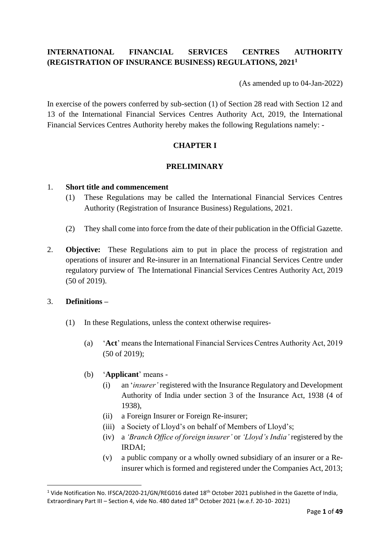## **INTERNATIONAL FINANCIAL SERVICES CENTRES AUTHORITY (REGISTRATION OF INSURANCE BUSINESS) REGULATIONS, 2021<sup>1</sup>**

(As amended up to 04-Jan-2022)

In exercise of the powers conferred by sub-section (1) of Section 28 read with Section 12 and 13 of the International Financial Services Centres Authority Act, 2019, the International Financial Services Centres Authority hereby makes the following Regulations namely: -

## **CHAPTER I**

#### **PRELIMINARY**

#### 1. **Short title and commencement**

- (1) These Regulations may be called the International Financial Services Centres Authority (Registration of Insurance Business) Regulations, 2021.
- (2) They shall come into force from the date of their publication in the Official Gazette.
- 2. **Objective:** These Regulations aim to put in place the process of registration and operations of insurer and Re-insurer in an International Financial Services Centre under regulatory purview of The International Financial Services Centres Authority Act, 2019 (50 of 2019).

## 3. **Definitions –**

- (1) In these Regulations, unless the context otherwise requires-
	- (a) '**Act**' means the International Financial Services Centres Authority Act, 2019 (50 of 2019);
	- (b) '**Applicant**' means
		- (i) an '*insurer'* registered with the Insurance Regulatory and Development Authority of India under section 3 of the Insurance Act, 1938 (4 of 1938),
		- (ii) a Foreign Insurer or Foreign Re-insurer;
		- (iii) a Society of Lloyd's on behalf of Members of Lloyd's;
		- (iv) a *'Branch Office of foreign insurer'* or *'Lloyd's India'* registered by the IRDAI;
		- (v) a public company or a wholly owned subsidiary of an insurer or a Reinsurer which is formed and registered under the Companies Act, 2013;

<sup>&</sup>lt;sup>1</sup> Vide Notification No. IFSCA/2020-21/GN/REG016 dated 18<sup>th</sup> October 2021 published in the Gazette of India, Extraordinary Part III – Section 4, vide No. 480 dated 18<sup>th</sup> October 2021 (w.e.f. 20-10- 2021)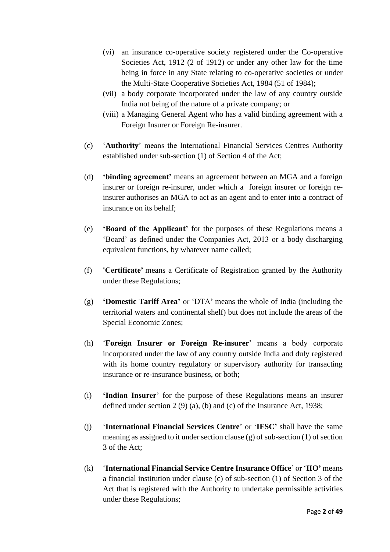- (vi) an insurance co-operative society registered under the Co-operative Societies Act, 1912 (2 of 1912) or under any other law for the time being in force in any State relating to co-operative societies or under the Multi-State Cooperative Societies Act, 1984 (51 of 1984);
- (vii) a body corporate incorporated under the law of any country outside India not being of the nature of a private company; or
- (viii) a Managing General Agent who has a valid binding agreement with a Foreign Insurer or Foreign Re-insurer.
- (c) '**Authority**' means the International Financial Services Centres Authority established under sub-section (1) of Section 4 of the Act;
- (d) **'binding agreement'** means an agreement between an MGA and a foreign insurer or foreign re-insurer, under which a foreign insurer or foreign reinsurer authorises an MGA to act as an agent and to enter into a contract of insurance on its behalf;
- (e) **'Board of the Applicant'** for the purposes of these Regulations means a 'Board' as defined under the Companies Act, 2013 or a body discharging equivalent functions, by whatever name called;
- (f) **'Certificate'** means a Certificate of Registration granted by the Authority under these Regulations;
- (g) **'Domestic Tariff Area'** or 'DTA' means the whole of India (including the territorial waters and continental shelf) but does not include the areas of the Special Economic Zones;
- (h) '**Foreign Insurer or Foreign Re-insurer**' means a body corporate incorporated under the law of any country outside India and duly registered with its home country regulatory or supervisory authority for transacting insurance or re-insurance business, or both;
- (i) **'Indian Insurer**' for the purpose of these Regulations means an insurer defined under section 2 (9) (a), (b) and (c) of the Insurance Act, 1938;
- (j) '**International Financial Services Centre**' or '**IFSC'** shall have the same meaning as assigned to it under section clause (g) of sub-section (1) of section 3 of the Act;
- (k) '**International Financial Service Centre Insurance Office**' or '**IIO'** means a financial institution under clause (c) of sub-section (1) of Section 3 of the Act that is registered with the Authority to undertake permissible activities under these Regulations;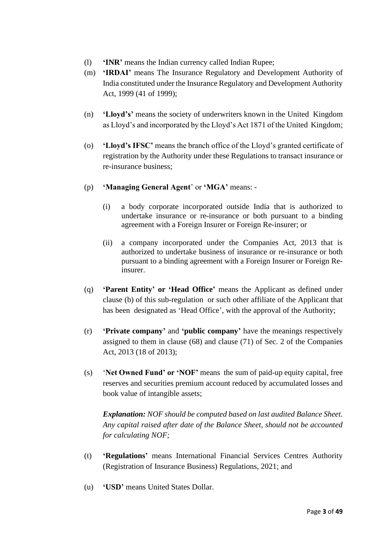- (l) **'INR'** means the Indian currency called Indian Rupee;
- (m) **'IRDAI'** means The Insurance Regulatory and Development Authority of India constituted under the Insurance Regulatory and Development Authority Act, 1999 (41 of 1999);
- (n) **'Lloyd's'** means the society of underwriters known in the United Kingdom as Lloyd's and incorporated by the Lloyd's Act 1871 of the United Kingdom;
- (o) **'Lloyd's IFSC'** means the branch office of the Lloyd's granted certificate of registration by the Authority under these Regulations to transact insurance or re-insurance business;
- (p) **'Managing General Agent**' or **'MGA'** means:
	- (i) a body corporate incorporated outside India that is authorized to undertake insurance or re-insurance or both pursuant to a binding agreement with a Foreign Insurer or Foreign Re-insurer; or
	- (ii) a company incorporated under the Companies Act, 2013 that is authorized to undertake business of insurance or re-insurance or both pursuant to a binding agreement with a Foreign Insurer or Foreign Reinsurer.
- (q) **'Parent Entity' or 'Head Office'** means the Applicant as defined under clause (b) of this sub-regulation or such other affiliate of the Applicant that has been designated as 'Head Office', with the approval of the Authority;
- (r) **'Private company'** and **'public company'** have the meanings respectively assigned to them in clause (68) and clause (71) of Sec. 2 of the Companies Act, 2013 (18 of 2013);
- (s) '**Net Owned Fund' or 'NOF'** means the sum of paid-up equity capital, free reserves and securities premium account reduced by accumulated losses and book value of intangible assets;

*Explanation: NOF should be computed based on last audited Balance Sheet. Any capital raised after date of the Balance Sheet, should not be accounted for calculating NOF;*

- (t) **'Regulations'** means International Financial Services Centres Authority (Registration of Insurance Business) Regulations, 2021; and
- (u) **'USD'** means United States Dollar.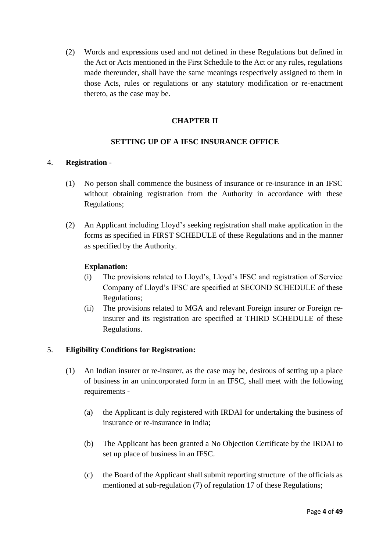(2) Words and expressions used and not defined in these Regulations but defined in the Act or Acts mentioned in the First Schedule to the Act or any rules, regulations made thereunder, shall have the same meanings respectively assigned to them in those Acts, rules or regulations or any statutory modification or re-enactment thereto, as the case may be.

## **CHAPTER II**

## **SETTING UP OF A IFSC INSURANCE OFFICE**

#### 4. **Registration -**

- (1) No person shall commence the business of insurance or re-insurance in an IFSC without obtaining registration from the Authority in accordance with these Regulations;
- (2) An Applicant including Lloyd's seeking registration shall make application in the forms as specified in FIRST SCHEDULE of these Regulations and in the manner as specified by the Authority.

#### **Explanation:**

- (i) The provisions related to Lloyd's, Lloyd's IFSC and registration of Service Company of Lloyd's IFSC are specified at SECOND SCHEDULE of these Regulations;
- (ii) The provisions related to MGA and relevant Foreign insurer or Foreign reinsurer and its registration are specified at THIRD SCHEDULE of these Regulations.

## 5. **Eligibility Conditions for Registration:**

- (1) An Indian insurer or re-insurer, as the case may be, desirous of setting up a place of business in an unincorporated form in an IFSC, shall meet with the following requirements -
	- (a) the Applicant is duly registered with IRDAI for undertaking the business of insurance or re-insurance in India;
	- (b) The Applicant has been granted a No Objection Certificate by the IRDAI to set up place of business in an IFSC.
	- (c) the Board of the Applicant shall submit reporting structure of the officials as mentioned at sub-regulation (7) of regulation 17 of these Regulations;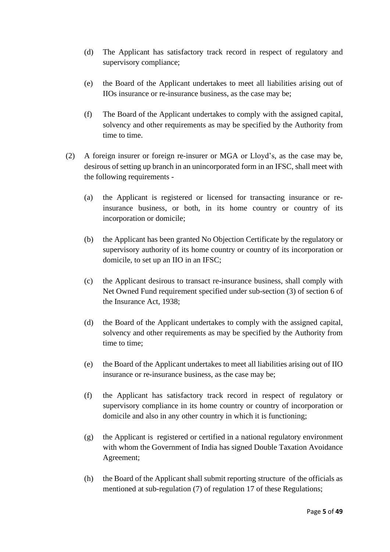- (d) The Applicant has satisfactory track record in respect of regulatory and supervisory compliance;
- (e) the Board of the Applicant undertakes to meet all liabilities arising out of IIOs insurance or re-insurance business, as the case may be;
- (f) The Board of the Applicant undertakes to comply with the assigned capital, solvency and other requirements as may be specified by the Authority from time to time.
- (2) A foreign insurer or foreign re-insurer or MGA or Lloyd's, as the case may be, desirous of setting up branch in an unincorporated form in an IFSC, shall meet with the following requirements -
	- (a) the Applicant is registered or licensed for transacting insurance or reinsurance business, or both, in its home country or country of its incorporation or domicile;
	- (b) the Applicant has been granted No Objection Certificate by the regulatory or supervisory authority of its home country or country of its incorporation or domicile, to set up an IIO in an IFSC;
	- (c) the Applicant desirous to transact re-insurance business, shall comply with Net Owned Fund requirement specified under sub-section (3) of section 6 of the Insurance Act, 1938;
	- (d) the Board of the Applicant undertakes to comply with the assigned capital, solvency and other requirements as may be specified by the Authority from time to time;
	- (e) the Board of the Applicant undertakes to meet all liabilities arising out of IIO insurance or re-insurance business, as the case may be;
	- (f) the Applicant has satisfactory track record in respect of regulatory or supervisory compliance in its home country or country of incorporation or domicile and also in any other country in which it is functioning;
	- (g) the Applicant is registered or certified in a national regulatory environment with whom the Government of India has signed Double Taxation Avoidance Agreement;
	- (h) the Board of the Applicant shall submit reporting structure of the officials as mentioned at sub-regulation (7) of regulation 17 of these Regulations;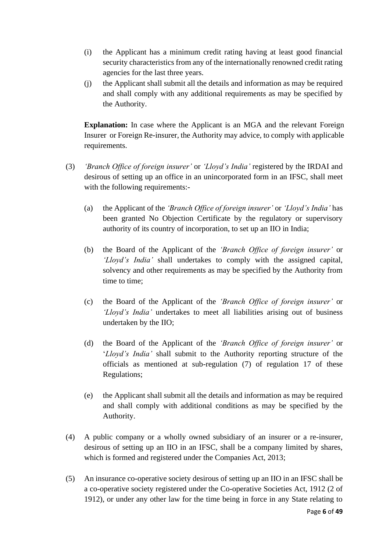- (i) the Applicant has a minimum credit rating having at least good financial security characteristics from any of the internationally renowned credit rating agencies for the last three years.
- (j) the Applicant shall submit all the details and information as may be required and shall comply with any additional requirements as may be specified by the Authority.

**Explanation:** In case where the Applicant is an MGA and the relevant Foreign Insurer or Foreign Re-insurer, the Authority may advice, to comply with applicable requirements.

- (3) *'Branch Office of foreign insurer'* or *'Lloyd's India'* registered by the IRDAI and desirous of setting up an office in an unincorporated form in an IFSC, shall meet with the following requirements:-
	- (a) the Applicant of the *'Branch Office of foreign insurer'* or *'Lloyd's India'* has been granted No Objection Certificate by the regulatory or supervisory authority of its country of incorporation, to set up an IIO in India;
	- (b) the Board of the Applicant of the *'Branch Office of foreign insurer'* or *'Lloyd's India'* shall undertakes to comply with the assigned capital, solvency and other requirements as may be specified by the Authority from time to time;
	- (c) the Board of the Applicant of the *'Branch Office of foreign insurer'* or *'Lloyd's India'* undertakes to meet all liabilities arising out of business undertaken by the IIO;
	- (d) the Board of the Applicant of the *'Branch Office of foreign insurer'* or '*Lloyd's India'* shall submit to the Authority reporting structure of the officials as mentioned at sub-regulation (7) of regulation 17 of these Regulations;
	- (e) the Applicant shall submit all the details and information as may be required and shall comply with additional conditions as may be specified by the Authority.
- (4) A public company or a wholly owned subsidiary of an insurer or a re-insurer, desirous of setting up an IIO in an IFSC, shall be a company limited by shares, which is formed and registered under the Companies Act, 2013;
- (5) An insurance co-operative society desirous of setting up an IIO in an IFSC shall be a co-operative society registered under the Co-operative Societies Act, 1912 (2 of 1912), or under any other law for the time being in force in any State relating to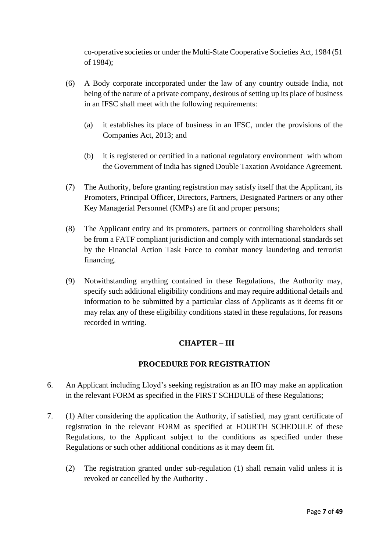co-operative societies or under the Multi-State Cooperative Societies Act, 1984 (51 of 1984);

- (6) A Body corporate incorporated under the law of any country outside India, not being of the nature of a private company, desirous of setting up its place of business in an IFSC shall meet with the following requirements:
	- (a) it establishes its place of business in an IFSC, under the provisions of the Companies Act, 2013; and
	- (b) it is registered or certified in a national regulatory environment with whom the Government of India has signed Double Taxation Avoidance Agreement.
- (7) The Authority, before granting registration may satisfy itself that the Applicant, its Promoters, Principal Officer, Directors, Partners, Designated Partners or any other Key Managerial Personnel (KMPs) are fit and proper persons;
- (8) The Applicant entity and its promoters, partners or controlling shareholders shall be from a FATF compliant jurisdiction and comply with international standards set by the Financial Action Task Force to combat money laundering and terrorist financing.
- (9) Notwithstanding anything contained in these Regulations, the Authority may, specify such additional eligibility conditions and may require additional details and information to be submitted by a particular class of Applicants as it deems fit or may relax any of these eligibility conditions stated in these regulations, for reasons recorded in writing.

## **CHAPTER – III**

## **PROCEDURE FOR REGISTRATION**

- 6. An Applicant including Lloyd's seeking registration as an IIO may make an application in the relevant FORM as specified in the FIRST SCHDULE of these Regulations;
- 7. (1) After considering the application the Authority, if satisfied, may grant certificate of registration in the relevant FORM as specified at FOURTH SCHEDULE of these Regulations, to the Applicant subject to the conditions as specified under these Regulations or such other additional conditions as it may deem fit.
	- (2) The registration granted under sub-regulation (1) shall remain valid unless it is revoked or cancelled by the Authority .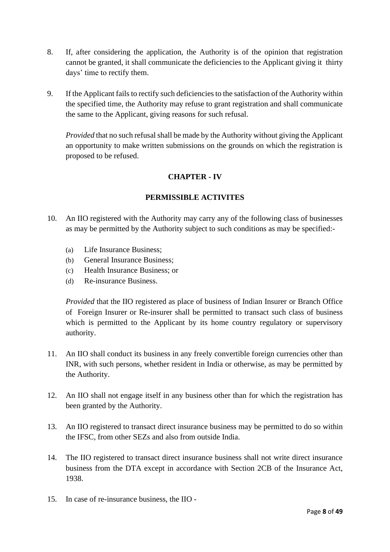- 8. If, after considering the application, the Authority is of the opinion that registration cannot be granted, it shall communicate the deficiencies to the Applicant giving it thirty days' time to rectify them.
- 9. If the Applicant fails to rectify such deficiencies to the satisfaction of the Authority within the specified time, the Authority may refuse to grant registration and shall communicate the same to the Applicant, giving reasons for such refusal.

*Provided* that no such refusal shall be made by the Authority without giving the Applicant an opportunity to make written submissions on the grounds on which the registration is proposed to be refused.

## **CHAPTER - IV**

## **PERMISSIBLE ACTIVITES**

- 10. An IIO registered with the Authority may carry any of the following class of businesses as may be permitted by the Authority subject to such conditions as may be specified:-
	- (a) Life Insurance Business;
	- (b) General Insurance Business;
	- (c) Health Insurance Business; or
	- (d) Re-insurance Business.

*Provided* that the IIO registered as place of business of Indian Insurer or Branch Office of Foreign Insurer or Re-insurer shall be permitted to transact such class of business which is permitted to the Applicant by its home country regulatory or supervisory authority.

- 11. An IIO shall conduct its business in any freely convertible foreign currencies other than INR, with such persons, whether resident in India or otherwise, as may be permitted by the Authority.
- 12. An IIO shall not engage itself in any business other than for which the registration has been granted by the Authority.
- 13. An IIO registered to transact direct insurance business may be permitted to do so within the IFSC, from other SEZs and also from outside India.
- 14. The IIO registered to transact direct insurance business shall not write direct insurance business from the DTA except in accordance with Section 2CB of the Insurance Act, 1938.
- 15. In case of re-insurance business, the IIO -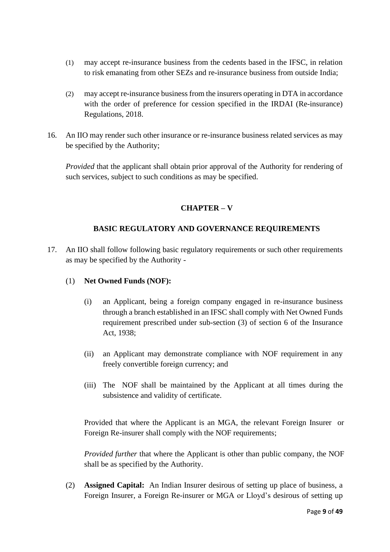- (1) may accept re-insurance business from the cedents based in the IFSC, in relation to risk emanating from other SEZs and re-insurance business from outside India;
- (2) may accept re-insurance business from the insurers operating in DTA in accordance with the order of preference for cession specified in the IRDAI (Re-insurance) Regulations, 2018.
- 16. An IIO may render such other insurance or re-insurance business related services as may be specified by the Authority;

*Provided* that the applicant shall obtain prior approval of the Authority for rendering of such services, subject to such conditions as may be specified.

## **CHAPTER – V**

## **BASIC REGULATORY AND GOVERNANCE REQUIREMENTS**

17. An IIO shall follow following basic regulatory requirements or such other requirements as may be specified by the Authority -

## (1) **Net Owned Funds (NOF):**

- (i) an Applicant, being a foreign company engaged in re-insurance business through a branch established in an IFSC shall comply with Net Owned Funds requirement prescribed under sub-section (3) of section 6 of the Insurance Act, 1938;
- (ii) an Applicant may demonstrate compliance with NOF requirement in any freely convertible foreign currency; and
- (iii) The NOF shall be maintained by the Applicant at all times during the subsistence and validity of certificate.

Provided that where the Applicant is an MGA, the relevant Foreign Insurer or Foreign Re-insurer shall comply with the NOF requirements;

*Provided further* that where the Applicant is other than public company, the NOF shall be as specified by the Authority.

(2) **Assigned Capital:** An Indian Insurer desirous of setting up place of business, a Foreign Insurer, a Foreign Re-insurer or MGA or Lloyd's desirous of setting up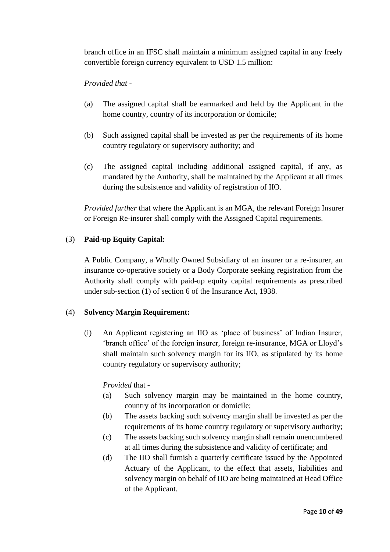branch office in an IFSC shall maintain a minimum assigned capital in any freely convertible foreign currency equivalent to USD 1.5 million:

## *Provided that -*

- (a) The assigned capital shall be earmarked and held by the Applicant in the home country, country of its incorporation or domicile;
- (b) Such assigned capital shall be invested as per the requirements of its home country regulatory or supervisory authority; and
- (c) The assigned capital including additional assigned capital, if any, as mandated by the Authority, shall be maintained by the Applicant at all times during the subsistence and validity of registration of IIO.

*Provided further* that where the Applicant is an MGA, the relevant Foreign Insurer or Foreign Re-insurer shall comply with the Assigned Capital requirements.

#### (3) **Paid-up Equity Capital:**

A Public Company, a Wholly Owned Subsidiary of an insurer or a re-insurer, an insurance co-operative society or a Body Corporate seeking registration from the Authority shall comply with paid-up equity capital requirements as prescribed under sub-section (1) of section 6 of the Insurance Act, 1938.

#### (4) **Solvency Margin Requirement:**

(i) An Applicant registering an IIO as 'place of business' of Indian Insurer, 'branch office' of the foreign insurer, foreign re-insurance, MGA or Lloyd's shall maintain such solvency margin for its IIO, as stipulated by its home country regulatory or supervisory authority;

## *Provided* that -

- (a) Such solvency margin may be maintained in the home country, country of its incorporation or domicile;
- (b) The assets backing such solvency margin shall be invested as per the requirements of its home country regulatory or supervisory authority;
- (c) The assets backing such solvency margin shall remain unencumbered at all times during the subsistence and validity of certificate; and
- (d) The IIO shall furnish a quarterly certificate issued by the Appointed Actuary of the Applicant, to the effect that assets, liabilities and solvency margin on behalf of IIO are being maintained at Head Office of the Applicant.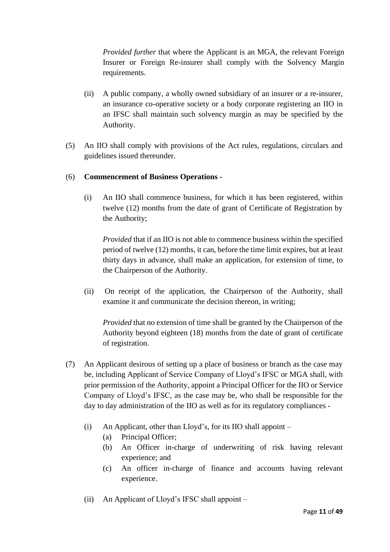*Provided further* that where the Applicant is an MGA, the relevant Foreign Insurer or Foreign Re-insurer shall comply with the Solvency Margin requirements.

- (ii) A public company, a wholly owned subsidiary of an insurer or a re-insurer, an insurance co-operative society or a body corporate registering an IIO in an IFSC shall maintain such solvency margin as may be specified by the Authority.
- (5) An IIO shall comply with provisions of the Act rules, regulations, circulars and guidelines issued thereunder.

## (6) **Commencement of Business Operations -**

(i) An IIO shall commence business, for which it has been registered, within twelve (12) months from the date of grant of Certificate of Registration by the Authority;

*Provided* that if an IIO is not able to commence business within the specified period of twelve (12) months, it can, before the time limit expires, but at least thirty days in advance, shall make an application, for extension of time, to the Chairperson of the Authority.

(ii) On receipt of the application, the Chairperson of the Authority, shall examine it and communicate the decision thereon, in writing;

*Provided* that no extension of time shall be granted by the Chairperson of the Authority beyond eighteen (18) months from the date of grant of certificate of registration.

- (7) An Applicant desirous of setting up a place of business or branch as the case may be, including Applicant of Service Company of Lloyd's IFSC or MGA shall, with prior permission of the Authority, appoint a Principal Officer for the IIO or Service Company of Lloyd's IFSC, as the case may be, who shall be responsible for the day to day administration of the IIO as well as for its regulatory compliances -
	- (i) An Applicant, other than Lloyd's, for its IIO shall appoint
		- (a) Principal Officer;
		- (b) An Officer in-charge of underwriting of risk having relevant experience; and
		- (c) An officer in-charge of finance and accounts having relevant experience.
	- (ii) An Applicant of Lloyd's IFSC shall appoint –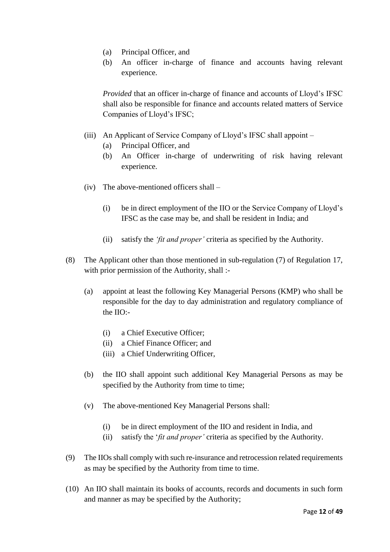- (a) Principal Officer, and
- (b) An officer in-charge of finance and accounts having relevant experience.

*Provided* that an officer in-charge of finance and accounts of Lloyd's IFSC shall also be responsible for finance and accounts related matters of Service Companies of Lloyd's IFSC;

- (iii) An Applicant of Service Company of Lloyd's IFSC shall appoint
	- (a) Principal Officer, and
	- (b) An Officer in-charge of underwriting of risk having relevant experience.
- (iv) The above-mentioned officers shall
	- (i) be in direct employment of the IIO or the Service Company of Lloyd's IFSC as the case may be, and shall be resident in India; and
	- (ii) satisfy the *'fit and proper'* criteria as specified by the Authority.
- (8) The Applicant other than those mentioned in sub-regulation (7) of Regulation 17, with prior permission of the Authority, shall :-
	- (a) appoint at least the following Key Managerial Persons (KMP) who shall be responsible for the day to day administration and regulatory compliance of the IIO:-
		- (i) a Chief Executive Officer;
		- (ii) a Chief Finance Officer; and
		- (iii) a Chief Underwriting Officer,
	- (b) the IIO shall appoint such additional Key Managerial Persons as may be specified by the Authority from time to time;
	- (v) The above-mentioned Key Managerial Persons shall:
		- (i) be in direct employment of the IIO and resident in India, and
		- (ii) satisfy the '*fit and proper'* criteria as specified by the Authority.
- (9) The IIOsshall comply with such re-insurance and retrocession related requirements as may be specified by the Authority from time to time.
- (10) An IIO shall maintain its books of accounts, records and documents in such form and manner as may be specified by the Authority;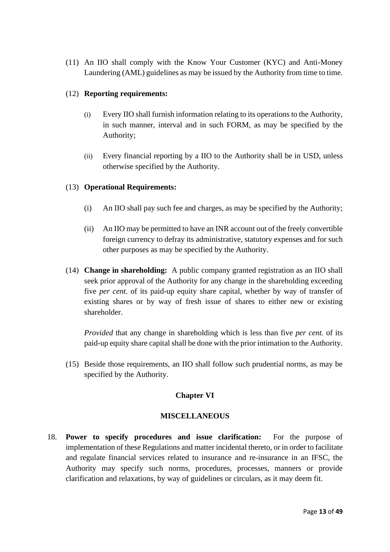(11) An IIO shall comply with the Know Your Customer (KYC) and Anti-Money Laundering (AML) guidelines as may be issued by the Authority from time to time.

#### (12) **Reporting requirements:**

- (i) Every IIO shall furnish information relating to its operations to the Authority, in such manner, interval and in such FORM, as may be specified by the Authority;
- (ii) Every financial reporting by a IIO to the Authority shall be in USD, unless otherwise specified by the Authority.

## (13) **Operational Requirements:**

- (i) An IIO shall pay such fee and charges, as may be specified by the Authority;
- (ii) An IIO may be permitted to have an INR account out of the freely convertible foreign currency to defray its administrative, statutory expenses and for such other purposes as may be specified by the Authority.
- (14) **Change in shareholding:** A public company granted registration as an IIO shall seek prior approval of the Authority for any change in the shareholding exceeding five *per cent.* of its paid-up equity share capital, whether by way of transfer of existing shares or by way of fresh issue of shares to either new or existing shareholder.

*Provided* that any change in shareholding which is less than five *per cent.* of its paid-up equity share capital shall be done with the prior intimation to the Authority.

(15) Beside those requirements, an IIO shall follow such prudential norms, as may be specified by the Authority.

## **Chapter VI**

#### **MISCELLANEOUS**

18. **Power to specify procedures and issue clarification:** For the purpose of implementation of these Regulations and matter incidental thereto, or in order to facilitate and regulate financial services related to insurance and re-insurance in an IFSC, the Authority may specify such norms, procedures, processes, manners or provide clarification and relaxations, by way of guidelines or circulars, as it may deem fit.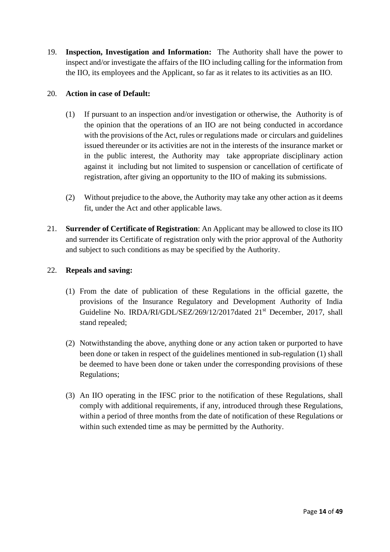19. **Inspection, Investigation and Information:** The Authority shall have the power to inspect and/or investigate the affairs of the IIO including calling for the information from the IIO, its employees and the Applicant, so far as it relates to its activities as an IIO.

### 20. **Action in case of Default:**

- (1) If pursuant to an inspection and/or investigation or otherwise, the Authority is of the opinion that the operations of an IIO are not being conducted in accordance with the provisions of the Act, rules or regulations made or circulars and guidelines issued thereunder or its activities are not in the interests of the insurance market or in the public interest, the Authority may take appropriate disciplinary action against it including but not limited to suspension or cancellation of certificate of registration, after giving an opportunity to the IIO of making its submissions.
- (2) Without prejudice to the above, the Authority may take any other action as it deems fit, under the Act and other applicable laws.
- 21. **Surrender of Certificate of Registration**: An Applicant may be allowed to close its IIO and surrender its Certificate of registration only with the prior approval of the Authority and subject to such conditions as may be specified by the Authority.

## 22. **Repeals and saving:**

- (1) From the date of publication of these Regulations in the official gazette, the provisions of the Insurance Regulatory and Development Authority of India Guideline No. IRDA/RI/GDL/SEZ/269/12/2017dated 21<sup>st</sup> December, 2017, shall stand repealed;
- (2) Notwithstanding the above, anything done or any action taken or purported to have been done or taken in respect of the guidelines mentioned in sub-regulation (1) shall be deemed to have been done or taken under the corresponding provisions of these Regulations;
- (3) An IIO operating in the IFSC prior to the notification of these Regulations, shall comply with additional requirements, if any, introduced through these Regulations, within a period of three months from the date of notification of these Regulations or within such extended time as may be permitted by the Authority.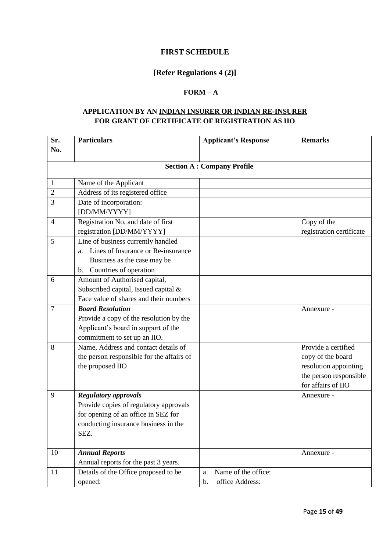#### **FIRST SCHEDULE**

## **[Refer Regulations 4 (2)]**

## **FORM – A**

### **APPLICATION BY AN INDIAN INSURER OR INDIAN RE-INSURER FOR GRANT OF CERTIFICATE OF REGISTRATION AS IIO**

| Sr.            | <b>Particulars</b>                        | <b>Applicant's Response</b>       | <b>Remarks</b>           |
|----------------|-------------------------------------------|-----------------------------------|--------------------------|
| No.            |                                           |                                   |                          |
|                |                                           | <b>Section A: Company Profile</b> |                          |
|                |                                           |                                   |                          |
| 1              | Name of the Applicant                     |                                   |                          |
| $\overline{2}$ | Address of its registered office          |                                   |                          |
| 3              | Date of incorporation:                    |                                   |                          |
|                | [DD/MM/YYYY]                              |                                   |                          |
| $\overline{4}$ | Registration No. and date of first        |                                   | Copy of the              |
|                | registration [DD/MM/YYYY]                 |                                   | registration certificate |
| 5              | Line of business currently handled        |                                   |                          |
|                | a. Lines of Insurance or Re-insurance     |                                   |                          |
|                | Business as the case may be               |                                   |                          |
|                | Countries of operation<br>$\mathbf{b}$ .  |                                   |                          |
| 6              | Amount of Authorised capital,             |                                   |                          |
|                | Subscribed capital, Issued capital &      |                                   |                          |
|                | Face value of shares and their numbers    |                                   |                          |
| $\overline{7}$ | <b>Board Resolution</b>                   |                                   | Annexure -               |
|                | Provide a copy of the resolution by the   |                                   |                          |
|                | Applicant's board in support of the       |                                   |                          |
|                | commitment to set up an IIO.              |                                   |                          |
| 8              | Name, Address and contact details of      |                                   | Provide a certified      |
|                | the person responsible for the affairs of |                                   | copy of the board        |
|                | the proposed IIO                          |                                   | resolution appointing    |
|                |                                           |                                   | the person responsible   |
|                |                                           |                                   | for affairs of IIO       |
| 9              | <b>Regulatory approvals</b>               |                                   | Annexure -               |
|                | Provide copies of regulatory approvals    |                                   |                          |
|                | for opening of an office in SEZ for       |                                   |                          |
|                | conducting insurance business in the      |                                   |                          |
|                | SEZ.                                      |                                   |                          |
| 10             | <b>Annual Reports</b>                     |                                   | Annexure -               |
|                | Annual reports for the past 3 years.      |                                   |                          |
| 11             | Details of the Office proposed to be      | Name of the office:<br>a.         |                          |
|                | opened:                                   | office Address:<br>$\mathbf b$ .  |                          |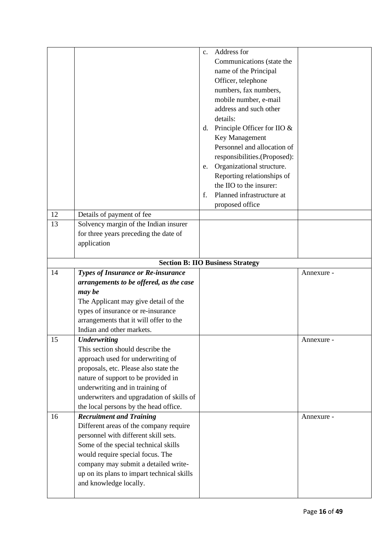|    |                                                                                    | $C_{\bullet}$ | Address for<br>Communications (state the<br>name of the Principal<br>Officer, telephone<br>numbers, fax numbers,<br>mobile number, e-mail<br>address and such other |            |
|----|------------------------------------------------------------------------------------|---------------|---------------------------------------------------------------------------------------------------------------------------------------------------------------------|------------|
|    |                                                                                    | d.            | details:<br>Principle Officer for IIO &                                                                                                                             |            |
|    |                                                                                    |               | Key Management                                                                                                                                                      |            |
|    |                                                                                    |               | Personnel and allocation of                                                                                                                                         |            |
|    |                                                                                    |               | responsibilities.(Proposed):                                                                                                                                        |            |
|    |                                                                                    | e.            | Organizational structure.<br>Reporting relationships of                                                                                                             |            |
|    |                                                                                    |               | the IIO to the insurer:                                                                                                                                             |            |
|    |                                                                                    | f.            | Planned infrastructure at                                                                                                                                           |            |
|    |                                                                                    |               | proposed office                                                                                                                                                     |            |
| 12 | Details of payment of fee                                                          |               |                                                                                                                                                                     |            |
| 13 | Solvency margin of the Indian insurer                                              |               |                                                                                                                                                                     |            |
|    | for three years preceding the date of                                              |               |                                                                                                                                                                     |            |
|    | application                                                                        |               |                                                                                                                                                                     |            |
|    |                                                                                    |               | <b>Section B: IIO Business Strategy</b>                                                                                                                             |            |
| 14 | <b>Types of Insurance or Re-insurance</b>                                          |               |                                                                                                                                                                     | Annexure - |
|    | arrangements to be offered, as the case                                            |               |                                                                                                                                                                     |            |
|    | may be                                                                             |               |                                                                                                                                                                     |            |
|    | The Applicant may give detail of the<br>types of insurance or re-insurance         |               |                                                                                                                                                                     |            |
|    | arrangements that it will offer to the                                             |               |                                                                                                                                                                     |            |
|    | Indian and other markets.                                                          |               |                                                                                                                                                                     |            |
| 15 | <b>Underwriting</b>                                                                |               |                                                                                                                                                                     | Annexure   |
|    | This section should describe the                                                   |               |                                                                                                                                                                     |            |
|    | approach used for underwriting of                                                  |               |                                                                                                                                                                     |            |
|    | proposals, etc. Please also state the                                              |               |                                                                                                                                                                     |            |
|    | nature of support to be provided in                                                |               |                                                                                                                                                                     |            |
|    | underwriting and in training of<br>underwriters and upgradation of skills of       |               |                                                                                                                                                                     |            |
|    | the local persons by the head office.                                              |               |                                                                                                                                                                     |            |
| 16 | <b>Recruitment and Training</b>                                                    |               |                                                                                                                                                                     | Annexure - |
|    | Different areas of the company require                                             |               |                                                                                                                                                                     |            |
|    | personnel with different skill sets.                                               |               |                                                                                                                                                                     |            |
|    | Some of the special technical skills                                               |               |                                                                                                                                                                     |            |
|    | would require special focus. The                                                   |               |                                                                                                                                                                     |            |
|    | company may submit a detailed write-<br>up on its plans to impart technical skills |               |                                                                                                                                                                     |            |
|    | and knowledge locally.                                                             |               |                                                                                                                                                                     |            |
|    |                                                                                    |               |                                                                                                                                                                     |            |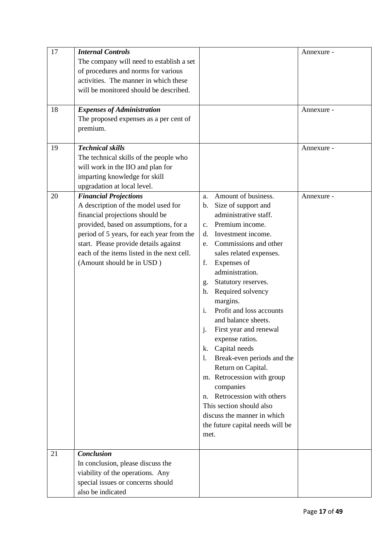| 17 | <b>Internal Controls</b>                   |                                       | Annexure - |
|----|--------------------------------------------|---------------------------------------|------------|
|    | The company will need to establish a set   |                                       |            |
|    | of procedures and norms for various        |                                       |            |
|    | activities. The manner in which these      |                                       |            |
|    | will be monitored should be described.     |                                       |            |
|    |                                            |                                       |            |
| 18 | <b>Expenses of Administration</b>          |                                       | Annexure - |
|    | The proposed expenses as a per cent of     |                                       |            |
|    | premium.                                   |                                       |            |
|    |                                            |                                       |            |
| 19 | <b>Technical skills</b>                    |                                       | Annexure - |
|    | The technical skills of the people who     |                                       |            |
|    | will work in the IIO and plan for          |                                       |            |
|    | imparting knowledge for skill              |                                       |            |
|    | upgradation at local level.                |                                       |            |
| 20 | <b>Financial Projections</b>               | Amount of business.<br>a.             | Annexure - |
|    | A description of the model used for        | Size of support and<br>$\mathbf{b}$ . |            |
|    | financial projections should be            | administrative staff.                 |            |
|    | provided, based on assumptions, for a      | Premium income.<br>$c_{\cdot}$        |            |
|    | period of 5 years, for each year from the  | Investment income.<br>d.              |            |
|    | start. Please provide details against      | Commissions and other<br>e.           |            |
|    | each of the items listed in the next cell. | sales related expenses.               |            |
|    | (Amount should be in USD)                  | Expenses of<br>f.                     |            |
|    |                                            | administration.                       |            |
|    |                                            | Statutory reserves.<br>g.             |            |
|    |                                            | Required solvency<br>h.               |            |
|    |                                            | margins.                              |            |
|    |                                            | Profit and loss accounts<br>i.        |            |
|    |                                            | and balance sheets.                   |            |
|    |                                            | First year and renewal<br>j.          |            |
|    |                                            | expense ratios.                       |            |
|    |                                            | k.<br>Capital needs                   |            |
|    |                                            | Break-even periods and the<br>1.      |            |
|    |                                            | Return on Capital.                    |            |
|    |                                            | m. Retrocession with group            |            |
|    |                                            | companies                             |            |
|    |                                            | Retrocession with others<br>n.        |            |
|    |                                            | This section should also              |            |
|    |                                            | discuss the manner in which           |            |
|    |                                            | the future capital needs will be      |            |
|    |                                            | met.                                  |            |
| 21 | <b>Conclusion</b>                          |                                       |            |
|    | In conclusion, please discuss the          |                                       |            |
|    | viability of the operations. Any           |                                       |            |
|    | special issues or concerns should          |                                       |            |
|    | also be indicated                          |                                       |            |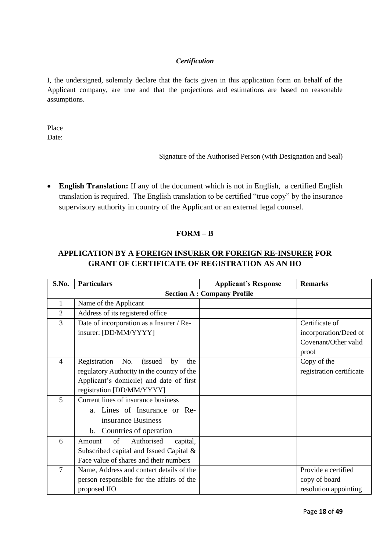#### *Certification*

I, the undersigned, solemnly declare that the facts given in this application form on behalf of the Applicant company, are true and that the projections and estimations are based on reasonable assumptions.

Place Date:

Signature of the Authorised Person (with Designation and Seal)

• **English Translation:** If any of the document which is not in English, a certified English translation is required. The English translation to be certified "true copy" by the insurance supervisory authority in country of the Applicant or an external legal counsel.

#### **FORM – B**

## **APPLICATION BY A FOREIGN INSURER OR FOREIGN RE-INSURER FOR GRANT OF CERTIFICATE OF REGISTRATION AS AN IIO**

| S.No.          | <b>Particulars</b>                                  | <b>Applicant's Response</b>       | <b>Remarks</b>           |
|----------------|-----------------------------------------------------|-----------------------------------|--------------------------|
|                |                                                     | <b>Section A: Company Profile</b> |                          |
| 1              | Name of the Applicant                               |                                   |                          |
| $\overline{2}$ | Address of its registered office                    |                                   |                          |
| 3              | Date of incorporation as a Insurer / Re-            |                                   | Certificate of           |
|                | insurer: [DD/MM/YYYY]                               |                                   | incorporation/Deed of    |
|                |                                                     |                                   | Covenant/Other valid     |
|                |                                                     |                                   | proof                    |
| $\overline{4}$ | Registration<br>No.<br><i>(issued)</i><br>by<br>the |                                   | Copy of the              |
|                | regulatory Authority in the country of the          |                                   | registration certificate |
|                | Applicant's domicile) and date of first             |                                   |                          |
|                | registration [DD/MM/YYYY]                           |                                   |                          |
| 5              | Current lines of insurance business                 |                                   |                          |
|                | a. Lines of Insurance or Re-                        |                                   |                          |
|                | insurance Business                                  |                                   |                          |
|                | Countries of operation<br>b.                        |                                   |                          |
| 6              | Amount<br>Authorised<br>of<br>capital,              |                                   |                          |
|                | Subscribed capital and Issued Capital &             |                                   |                          |
|                | Face value of shares and their numbers              |                                   |                          |
| $\overline{7}$ | Name, Address and contact details of the            |                                   | Provide a certified      |
|                | person responsible for the affairs of the           |                                   | copy of board            |
|                | proposed IIO                                        |                                   | resolution appointing    |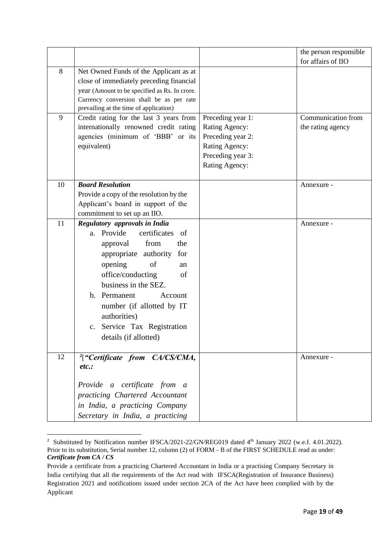|    |                                                                                    |                   | the person responsible |
|----|------------------------------------------------------------------------------------|-------------------|------------------------|
|    |                                                                                    |                   | for affairs of IIO     |
| 8  | Net Owned Funds of the Applicant as at                                             |                   |                        |
|    | close of immediately preceding financial                                           |                   |                        |
|    | year (Amount to be specified as Rs. In crore.                                      |                   |                        |
|    | Currency conversion shall be as per rate<br>prevailing at the time of application) |                   |                        |
| 9  | Credit rating for the last 3 years from                                            | Preceding year 1: | Communication from     |
|    | internationally renowned credit rating                                             | Rating Agency:    | the rating agency      |
|    | agencies (minimum of 'BBB' or its                                                  | Preceding year 2: |                        |
|    | equivalent)                                                                        | Rating Agency:    |                        |
|    |                                                                                    | Preceding year 3: |                        |
|    |                                                                                    | Rating Agency:    |                        |
|    |                                                                                    |                   |                        |
| 10 | <b>Board Resolution</b>                                                            |                   | Annexure -             |
|    | Provide a copy of the resolution by the                                            |                   |                        |
|    | Applicant's board in support of the                                                |                   |                        |
|    | commitment to set up an IIO.                                                       |                   |                        |
| 11 | Regulatory approvals in India                                                      |                   | Annexure -             |
|    | a. Provide<br>certificates<br>of                                                   |                   |                        |
|    | from<br>the<br>approval                                                            |                   |                        |
|    | appropriate authority<br>for                                                       |                   |                        |
|    | opening<br>of<br>an                                                                |                   |                        |
|    | office/conducting<br>of                                                            |                   |                        |
|    | business in the SEZ.                                                               |                   |                        |
|    | b. Permanent<br>Account                                                            |                   |                        |
|    | number (if allotted by IT                                                          |                   |                        |
|    | authorities)                                                                       |                   |                        |
|    | Service Tax Registration<br>$C_{\bullet}$                                          |                   |                        |
|    | details (if allotted)                                                              |                   |                        |
|    |                                                                                    |                   |                        |
| 12 | $^{2}[$ "Certificate from CA/CS/CMA,                                               |                   | Annexure -             |
|    | etc.                                                                               |                   |                        |
|    |                                                                                    |                   |                        |
|    | Provide a certificate from a                                                       |                   |                        |
|    | practicing Chartered Accountant                                                    |                   |                        |
|    | in India, a practicing Company                                                     |                   |                        |
|    | Secretary in India, a practicing                                                   |                   |                        |

<sup>&</sup>lt;sup>2</sup> Substituted by Notification number IFSCA/2021-22/GN/REG019 dated 4<sup>th</sup> January 2022 (w.e.f. 4.01.2022). Prior to its substitution, Serial number 12, column (2) of FORM - B of the FIRST SCHEDULE read as under: *Certificate from CA / CS*

Provide a certificate from a practicing Chartered Accountant in India or a practising Company Secretary in India certifying that all the requirements of the Act read with IFSCA(Registration of Insurance Business) Registration 2021 and notifications issued under section 2CA of the Act have been complied with by the Applicant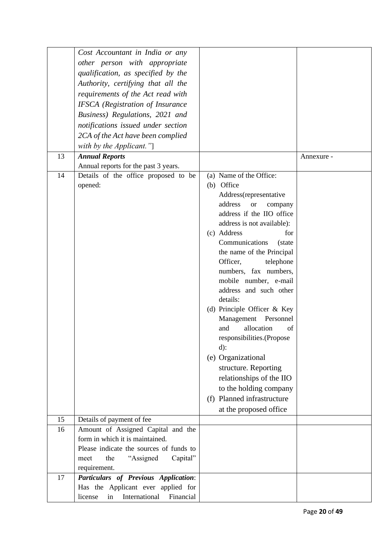|    | Cost Accountant in India or any             |                                       |            |
|----|---------------------------------------------|---------------------------------------|------------|
|    | other person with appropriate               |                                       |            |
|    | qualification, as specified by the          |                                       |            |
|    | Authority, certifying that all the          |                                       |            |
|    | requirements of the Act read with           |                                       |            |
|    | <b>IFSCA</b> (Registration of Insurance     |                                       |            |
|    | Business) Regulations, 2021 and             |                                       |            |
|    | notifications issued under section          |                                       |            |
|    |                                             |                                       |            |
|    | 2CA of the Act have been complied           |                                       |            |
|    | with by the Applicant."]                    |                                       |            |
| 13 | <b>Annual Reports</b>                       |                                       | Annexure - |
| 14 | Annual reports for the past 3 years.        |                                       |            |
|    | Details of the office proposed to be        | (a) Name of the Office:<br>(b) Office |            |
|    | opened:                                     | Address(representative                |            |
|    |                                             | address<br><b>or</b><br>company       |            |
|    |                                             | address if the IIO office             |            |
|    |                                             | address is not available):            |            |
|    |                                             | (c) Address<br>for                    |            |
|    |                                             | Communications<br>(state              |            |
|    |                                             | the name of the Principal             |            |
|    |                                             | Officer,<br>telephone                 |            |
|    |                                             | numbers, fax numbers,                 |            |
|    |                                             | mobile number, e-mail                 |            |
|    |                                             | address and such other                |            |
|    |                                             | details:                              |            |
|    |                                             | (d) Principle Officer & Key           |            |
|    |                                             | Management<br>Personnel               |            |
|    |                                             | allocation<br>and<br>of               |            |
|    |                                             | responsibilities.(Propose             |            |
|    |                                             | $d)$ :                                |            |
|    |                                             | (e) Organizational                    |            |
|    |                                             | structure. Reporting                  |            |
|    |                                             | relationships of the IIO              |            |
|    |                                             | to the holding company                |            |
|    |                                             | (f) Planned infrastructure            |            |
|    |                                             | at the proposed office                |            |
| 15 | Details of payment of fee                   |                                       |            |
| 16 | Amount of Assigned Capital and the          |                                       |            |
|    | form in which it is maintained.             |                                       |            |
|    | Please indicate the sources of funds to     |                                       |            |
|    | "Assigned<br>the<br>Capital"<br>meet        |                                       |            |
|    | requirement.                                |                                       |            |
| 17 | Particulars of Previous Application:        |                                       |            |
|    | Has the Applicant ever applied for          |                                       |            |
|    | Financial<br>International<br>license<br>in |                                       |            |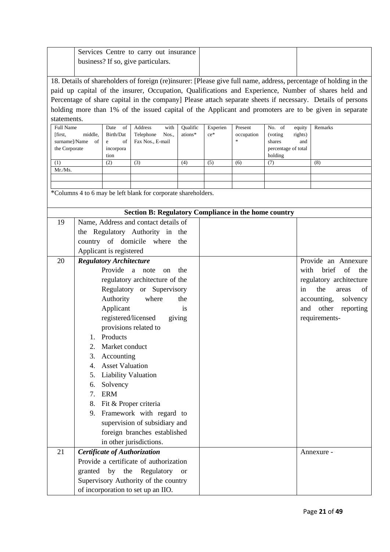|                          |         |                                | Services Centre to carry out insurance<br>business? If so, give particulars. |                      |          |          |                                                             |                                |                   |                                                                                                                   |
|--------------------------|---------|--------------------------------|------------------------------------------------------------------------------|----------------------|----------|----------|-------------------------------------------------------------|--------------------------------|-------------------|-------------------------------------------------------------------------------------------------------------------|
|                          |         |                                |                                                                              |                      |          |          |                                                             |                                |                   |                                                                                                                   |
|                          |         |                                |                                                                              |                      |          |          |                                                             |                                |                   | 18. Details of shareholders of foreign (re)insurer: [Please give full name, address, percentage of holding in the |
|                          |         |                                |                                                                              |                      |          |          |                                                             |                                |                   | paid up capital of the insurer, Occupation, Qualifications and Experience, Number of shares held and              |
|                          |         |                                |                                                                              |                      |          |          |                                                             |                                |                   | Percentage of share capital in the company] Please attach separate sheets if necessary. Details of persons        |
|                          |         |                                |                                                                              |                      |          |          |                                                             |                                |                   | holding more than 1% of the issued capital of the Applicant and promoters are to be given in separate             |
| statements.<br>Full Name |         | Date of                        | Address                                                                      | with                 | Qualific | Experien | Present                                                     | No. of                         |                   | Remarks                                                                                                           |
| [first,                  | middle. | Birth/Dat                      | Telephone                                                                    | Nos.,                | ations*  | $ce*$    | occupation                                                  | (voting)                       | equity<br>rights) |                                                                                                                   |
| surname]/Name            | of      | of<br>e                        | Fax Nos., E-mail                                                             |                      |          |          |                                                             | shares                         | and               |                                                                                                                   |
| the Corporate            |         | incorpora<br>tion              |                                                                              |                      |          |          |                                                             | percentage of total<br>holding |                   |                                                                                                                   |
| (1)                      |         | (2)                            | (3)                                                                          | (4)                  |          | (5)      | (6)                                                         | (7)                            |                   | (8)                                                                                                               |
| Mr./Ms.                  |         |                                |                                                                              |                      |          |          |                                                             |                                |                   |                                                                                                                   |
|                          |         |                                |                                                                              |                      |          |          |                                                             |                                |                   |                                                                                                                   |
|                          |         |                                | *Columns 4 to 6 may be left blank for corporate shareholders.                |                      |          |          |                                                             |                                |                   |                                                                                                                   |
|                          |         |                                |                                                                              |                      |          |          |                                                             |                                |                   |                                                                                                                   |
|                          |         |                                |                                                                              |                      |          |          | <b>Section B: Regulatory Compliance in the home country</b> |                                |                   |                                                                                                                   |
| 19                       |         |                                | Name, Address and contact details of                                         |                      |          |          |                                                             |                                |                   |                                                                                                                   |
|                          |         |                                | the Regulatory Authority in the                                              |                      |          |          |                                                             |                                |                   |                                                                                                                   |
|                          |         |                                | country of domicile where                                                    | the                  |          |          |                                                             |                                |                   |                                                                                                                   |
|                          |         | Applicant is registered        |                                                                              |                      |          |          |                                                             |                                |                   |                                                                                                                   |
| 20                       |         | <b>Regulatory Architecture</b> |                                                                              |                      |          |          |                                                             |                                |                   | Provide an Annexure                                                                                               |
|                          |         | Provide a note                 |                                                                              | the<br><sub>on</sub> |          |          |                                                             |                                |                   | brief<br>of<br>with<br>the                                                                                        |
|                          |         |                                | regulatory architecture of the                                               |                      |          |          |                                                             |                                |                   | regulatory architecture                                                                                           |
|                          |         |                                | Regulatory or Supervisory                                                    |                      |          |          |                                                             |                                | in                | the<br>of<br>areas                                                                                                |
|                          |         | Authority                      | where                                                                        | the                  |          |          |                                                             |                                |                   | accounting,<br>solvency                                                                                           |
|                          |         | Applicant                      |                                                                              | is                   |          |          |                                                             |                                |                   | and other<br>reporting                                                                                            |
|                          |         | registered/licensed            |                                                                              | giving               |          |          |                                                             |                                |                   | requirements-                                                                                                     |
|                          |         |                                | provisions related to                                                        |                      |          |          |                                                             |                                |                   |                                                                                                                   |
|                          | 1.      | Products                       |                                                                              |                      |          |          |                                                             |                                |                   |                                                                                                                   |
|                          | 2.      | Market conduct                 |                                                                              |                      |          |          |                                                             |                                |                   |                                                                                                                   |
|                          | 3.      | Accounting                     |                                                                              |                      |          |          |                                                             |                                |                   |                                                                                                                   |
|                          | 4.      | <b>Asset Valuation</b>         |                                                                              |                      |          |          |                                                             |                                |                   |                                                                                                                   |
|                          | 5.      | <b>Liability Valuation</b>     |                                                                              |                      |          |          |                                                             |                                |                   |                                                                                                                   |
|                          | 6.      | Solvency                       |                                                                              |                      |          |          |                                                             |                                |                   |                                                                                                                   |
|                          | 7.      | <b>ERM</b>                     |                                                                              |                      |          |          |                                                             |                                |                   |                                                                                                                   |
|                          | 8.      |                                | Fit & Proper criteria                                                        |                      |          |          |                                                             |                                |                   |                                                                                                                   |
|                          | 9.      |                                | Framework with regard to                                                     |                      |          |          |                                                             |                                |                   |                                                                                                                   |
|                          |         |                                | supervision of subsidiary and                                                |                      |          |          |                                                             |                                |                   |                                                                                                                   |
|                          |         |                                | foreign branches established<br>in other jurisdictions.                      |                      |          |          |                                                             |                                |                   |                                                                                                                   |
| 21                       |         |                                | Certificate of Authorization                                                 |                      |          |          |                                                             |                                |                   |                                                                                                                   |
|                          |         |                                | Provide a certificate of authorization                                       |                      |          |          |                                                             |                                |                   | Annexure -                                                                                                        |
|                          |         |                                |                                                                              |                      |          |          |                                                             |                                |                   |                                                                                                                   |
|                          |         |                                |                                                                              |                      |          |          |                                                             |                                |                   |                                                                                                                   |
|                          |         |                                | granted by the Regulatory<br>Supervisory Authority of the country            | <sub>or</sub>        |          |          |                                                             |                                |                   |                                                                                                                   |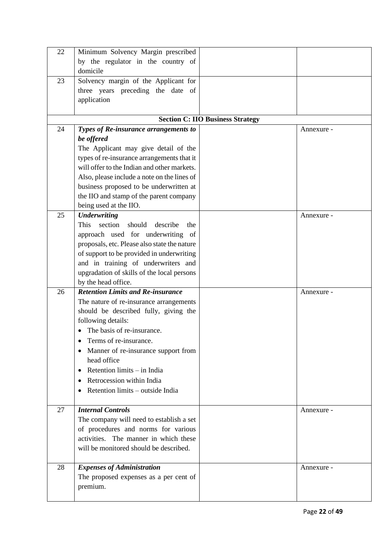| 22 | Minimum Solvency Margin prescribed               |                                         |            |
|----|--------------------------------------------------|-----------------------------------------|------------|
|    | by the regulator in the country of               |                                         |            |
|    | domicile                                         |                                         |            |
| 23 | Solvency margin of the Applicant for             |                                         |            |
|    | three years preceding the date of                |                                         |            |
|    | application                                      |                                         |            |
|    |                                                  |                                         |            |
|    |                                                  | <b>Section C: IIO Business Strategy</b> |            |
| 24 | Types of Re-insurance arrangements to            |                                         | Annexure - |
|    | be offered                                       |                                         |            |
|    | The Applicant may give detail of the             |                                         |            |
|    | types of re-insurance arrangements that it       |                                         |            |
|    | will offer to the Indian and other markets.      |                                         |            |
|    | Also, please include a note on the lines of      |                                         |            |
|    | business proposed to be underwritten at          |                                         |            |
|    | the IIO and stamp of the parent company          |                                         |            |
|    | being used at the IIO.                           |                                         |            |
| 25 | <b>Underwriting</b>                              |                                         | Annexure - |
|    | This<br>section<br>should<br>describe<br>the     |                                         |            |
|    | approach used for underwriting of                |                                         |            |
|    | proposals, etc. Please also state the nature     |                                         |            |
|    | of support to be provided in underwriting        |                                         |            |
|    | and in training of underwriters and              |                                         |            |
|    | upgradation of skills of the local persons       |                                         |            |
|    | by the head office.                              |                                         |            |
| 26 | <b>Retention Limits and Re-insurance</b>         |                                         | Annexure - |
|    | The nature of re-insurance arrangements          |                                         |            |
|    | should be described fully, giving the            |                                         |            |
|    | following details:                               |                                         |            |
|    | The basis of re-insurance.                       |                                         |            |
|    | Terms of re-insurance.                           |                                         |            |
|    | Manner of re-insurance support from<br>$\bullet$ |                                         |            |
|    | head office                                      |                                         |            |
|    | Retention limits - in India<br>$\bullet$         |                                         |            |
|    | Retrocession within India<br>$\bullet$           |                                         |            |
|    | Retention limits – outside India<br>$\bullet$    |                                         |            |
|    |                                                  |                                         |            |
| 27 | <b>Internal Controls</b>                         |                                         | Annexure - |
|    | The company will need to establish a set         |                                         |            |
|    | of procedures and norms for various              |                                         |            |
|    | activities. The manner in which these            |                                         |            |
|    | will be monitored should be described.           |                                         |            |
|    |                                                  |                                         |            |
| 28 | <b>Expenses of Administration</b>                |                                         | Annexure - |
|    | The proposed expenses as a per cent of           |                                         |            |
|    | premium.                                         |                                         |            |
|    |                                                  |                                         |            |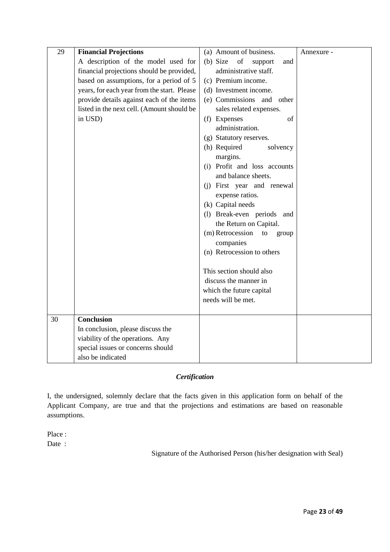| 29 | <b>Financial Projections</b>                | (a) Amount of business.                           | Annexure - |
|----|---------------------------------------------|---------------------------------------------------|------------|
|    | A description of the model used for         | (b) Size<br>of<br>support<br>and                  |            |
|    | financial projections should be provided,   | administrative staff.                             |            |
|    | based on assumptions, for a period of 5     | (c) Premium income.                               |            |
|    | years, for each year from the start. Please | (d) Investment income.                            |            |
|    | provide details against each of the items   | (e) Commissions and other                         |            |
|    | listed in the next cell. (Amount should be  | sales related expenses.                           |            |
|    | in USD)                                     | (f) Expenses<br>of                                |            |
|    |                                             | administration.                                   |            |
|    |                                             | (g) Statutory reserves.                           |            |
|    |                                             | (h) Required<br>solvency                          |            |
|    |                                             | margins.                                          |            |
|    |                                             | (i) Profit and loss accounts                      |            |
|    |                                             | and balance sheets.                               |            |
|    |                                             | (j) First year and renewal                        |            |
|    |                                             | expense ratios.                                   |            |
|    |                                             | (k) Capital needs                                 |            |
|    |                                             | (1) Break-even periods and                        |            |
|    |                                             | the Return on Capital.                            |            |
|    |                                             | (m) Retrocession<br>to<br>group                   |            |
|    |                                             | companies                                         |            |
|    |                                             | (n) Retrocession to others                        |            |
|    |                                             |                                                   |            |
|    |                                             | This section should also<br>discuss the manner in |            |
|    |                                             | which the future capital                          |            |
|    |                                             | needs will be met.                                |            |
|    |                                             |                                                   |            |
| 30 | <b>Conclusion</b>                           |                                                   |            |
|    | In conclusion, please discuss the           |                                                   |            |
|    | viability of the operations. Any            |                                                   |            |
|    | special issues or concerns should           |                                                   |            |
|    | also be indicated                           |                                                   |            |

## *Certification*

I, the undersigned, solemnly declare that the facts given in this application form on behalf of the Applicant Company, are true and that the projections and estimations are based on reasonable assumptions.

Place :

Date :

Signature of the Authorised Person (his/her designation with Seal)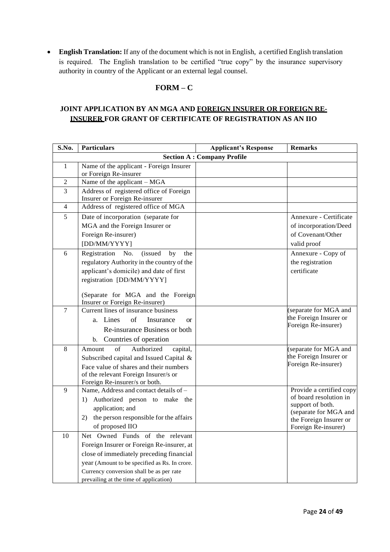• **English Translation:** If any of the document which is not in English, a certified English translation is required. The English translation to be certified "true copy" by the insurance supervisory authority in country of the Applicant or an external legal counsel.

## **FORM – C**

### **JOINT APPLICATION BY AN MGA AND FOREIGN INSURER OR FOREIGN RE-INSURER FOR GRANT OF CERTIFICATE OF REGISTRATION AS AN IIO**

| S.No.            | <b>Particulars</b>                                                                                              | <b>Applicant's Response</b>       | <b>Remarks</b>                            |
|------------------|-----------------------------------------------------------------------------------------------------------------|-----------------------------------|-------------------------------------------|
|                  |                                                                                                                 | <b>Section A: Company Profile</b> |                                           |
| 1                | Name of the applicant - Foreign Insurer<br>or Foreign Re-insurer                                                |                                   |                                           |
| $\boldsymbol{2}$ | Name of the applicant - MGA                                                                                     |                                   |                                           |
| 3                | Address of registered office of Foreign<br>Insurer or Foreign Re-insurer                                        |                                   |                                           |
| $\overline{4}$   | Address of registered office of MGA                                                                             |                                   |                                           |
| 5                | Date of incorporation (separate for                                                                             |                                   | Annexure - Certificate                    |
|                  | MGA and the Foreign Insurer or                                                                                  |                                   | of incorporation/Deed                     |
|                  | Foreign Re-insurer)                                                                                             |                                   | of Covenant/Other                         |
|                  | [DD/MM/YYYY]                                                                                                    |                                   | valid proof                               |
| 6                | Registration<br>No.<br>(issued<br>by<br>the                                                                     |                                   | Annexure - Copy of                        |
|                  | regulatory Authority in the country of the                                                                      |                                   | the registration                          |
|                  | applicant's domicile) and date of first                                                                         |                                   | certificate                               |
|                  | registration [DD/MM/YYYY]                                                                                       |                                   |                                           |
|                  | (Separate for MGA and the Foreign<br>Insurer or Foreign Re-insurer)                                             |                                   |                                           |
| 7                | Current lines of insurance business                                                                             |                                   | (separate for MGA and                     |
|                  | of<br>Lines<br>Insurance<br>a.<br>$\alpha$                                                                      |                                   | the Foreign Insurer or                    |
|                  | Re-insurance Business or both                                                                                   |                                   | Foreign Re-insurer)                       |
|                  | b. Countries of operation                                                                                       |                                   |                                           |
| 8                | of<br>Authorized<br>Amount<br>capital,                                                                          |                                   | (separate for MGA and                     |
|                  | Subscribed capital and Issued Capital &                                                                         |                                   | the Foreign Insurer or                    |
|                  | Face value of shares and their numbers<br>of the relevant Foreign Insurer/s or<br>Foreign Re-insurer/s or both. |                                   | Foreign Re-insurer)                       |
| 9                | Name, Address and contact details of -                                                                          |                                   | Provide a certified copy                  |
|                  | Authorized person to make the<br>1)                                                                             |                                   | of board resolution in                    |
|                  | application; and                                                                                                |                                   | support of both.<br>(separate for MGA and |
|                  | the person responsible for the affairs<br>2)                                                                    |                                   | the Foreign Insurer or                    |
|                  | of proposed IIO                                                                                                 |                                   | Foreign Re-insurer)                       |
| 10               | Net Owned Funds of the relevant                                                                                 |                                   |                                           |
|                  | Foreign Insurer or Foreign Re-insurer, at                                                                       |                                   |                                           |
|                  | close of immediately preceding financial                                                                        |                                   |                                           |
|                  | year (Amount to be specified as Rs. In crore.                                                                   |                                   |                                           |
|                  | Currency conversion shall be as per rate                                                                        |                                   |                                           |
|                  | prevailing at the time of application)                                                                          |                                   |                                           |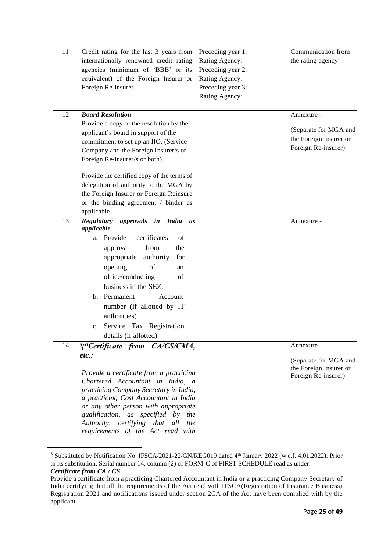| 11 | Credit rating for the last 3 years from                                    | Preceding year 1: | Communication from     |
|----|----------------------------------------------------------------------------|-------------------|------------------------|
|    | internationally renowned credit rating                                     | Rating Agency:    | the rating agency      |
|    | agencies (minimum of 'BBB' or its                                          | Preceding year 2: |                        |
|    | equivalent) of the Foreign Insurer or                                      | Rating Agency:    |                        |
|    | Foreign Re-insurer.                                                        | Preceding year 3: |                        |
|    |                                                                            | Rating Agency:    |                        |
|    |                                                                            |                   |                        |
| 12 | <b>Board Resolution</b>                                                    |                   | Annexure –             |
|    | Provide a copy of the resolution by the                                    |                   |                        |
|    | applicant's board in support of the                                        |                   | (Separate for MGA and  |
|    | commitment to set up an IIO. (Service                                      |                   | the Foreign Insurer or |
|    | Company and the Foreign Insurer/s or                                       |                   | Foreign Re-insurer)    |
|    | Foreign Re-insurer/s or both)                                              |                   |                        |
|    |                                                                            |                   |                        |
|    | Provide the certified copy of the terms of                                 |                   |                        |
|    | delegation of authority to the MGA by                                      |                   |                        |
|    | the Foreign Insurer or Foreign Reinsure                                    |                   |                        |
|    | or the binding agreement / binder as                                       |                   |                        |
|    | applicable.                                                                |                   |                        |
| 13 | approvals in India<br><b>Regulatory</b><br>as                              |                   | Annexure -             |
|    | applicable                                                                 |                   |                        |
|    | a. Provide<br>certificates<br>of                                           |                   |                        |
|    | from<br>the<br>approval                                                    |                   |                        |
|    | authority<br>appropriate<br>for                                            |                   |                        |
|    | opening<br>of<br>an                                                        |                   |                        |
|    | office/conducting<br>of                                                    |                   |                        |
|    | business in the SEZ.                                                       |                   |                        |
|    | b. Permanent<br>Account                                                    |                   |                        |
|    |                                                                            |                   |                        |
|    | number (if allotted by IT                                                  |                   |                        |
|    | authorities)                                                               |                   |                        |
|    | Service Tax Registration<br>c.                                             |                   |                        |
|    | details (if allotted)                                                      |                   |                        |
| 14 | <sup>3</sup> ["Certificate from CA/CS/CMA,                                 |                   | Annexure –             |
|    | etc.                                                                       |                   | (Separate for MGA and  |
|    |                                                                            |                   | the Foreign Insurer or |
|    | Provide a certificate from a practicing                                    |                   | Foreign Re-insurer)    |
|    | Chartered Accountant in India, a                                           |                   |                        |
|    | practicing Company Secretary in India,                                     |                   |                        |
|    | a practicing Cost Accountant in India                                      |                   |                        |
|    | or any other person with appropriate<br>qualification, as specified by the |                   |                        |
|    | Authority, certifying that<br>all<br>the                                   |                   |                        |
|    | requirements of the Act read with                                          |                   |                        |
|    |                                                                            |                   |                        |

<sup>&</sup>lt;sup>3</sup> Substituted by Notification No. IFSCA/2021-22/GN/REG019 dated 4<sup>th</sup> January 2022 (w.e.f. 4.01.2022). Prior to its substitution, Serial number 14, column (2) of FORM-C of FIRST SCHEDULE read as under: *Certificate from CA / CS*

Provide a certificate from a practicing Chartered Accountant in India or a practicing Company Secretary of India certifying that all the requirements of the Act read with IFSCA(Registration of Insurance Business) Registration 2021 and notifications issued under section 2CA of the Act have been complied with by the applicant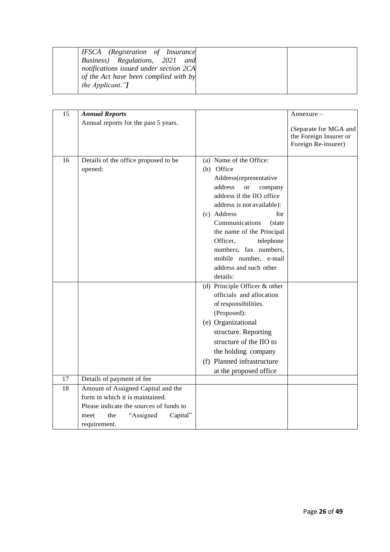| IFSCA (Registration of Insurance<br>Business) Regulations, 2021 and<br>notifications issued under section 2CA<br>of the Act have been complied with by |  |
|--------------------------------------------------------------------------------------------------------------------------------------------------------|--|
| <i>the Applicant.</i> "]                                                                                                                               |  |

| 15 | <b>Annual Reports</b>                           |                                                                                                                                                                                                                                                                                                                                                                | Annexure –                                                             |
|----|-------------------------------------------------|----------------------------------------------------------------------------------------------------------------------------------------------------------------------------------------------------------------------------------------------------------------------------------------------------------------------------------------------------------------|------------------------------------------------------------------------|
|    | Annual reports for the past 5 years.            |                                                                                                                                                                                                                                                                                                                                                                | (Separate for MGA and<br>the Foreign Insurer or<br>Foreign Re-insurer) |
| 16 | Details of the office proposed to be<br>opened: | (a) Name of the Office:<br>(b) Office<br>Address(representative<br>address<br>company<br><b>or</b><br>address if the IIO office<br>address is not available):<br>(c) Address<br>for<br>Communications<br>(state)<br>the name of the Principal<br>Officer,<br>telephone<br>numbers, fax numbers,<br>mobile number, e-mail<br>address and such other<br>details: |                                                                        |
|    |                                                 | (d) Principle Officer $&$ other<br>officials and allocation<br>of responsibilities.<br>(Proposed):<br>(e) Organizational<br>structure. Reporting<br>structure of the IIO to<br>the holding company<br>(f) Planned infrastructure<br>at the proposed office                                                                                                     |                                                                        |
| 17 | Details of payment of fee                       |                                                                                                                                                                                                                                                                                                                                                                |                                                                        |
| 18 | Amount of Assigned Capital and the              |                                                                                                                                                                                                                                                                                                                                                                |                                                                        |
|    | form in which it is maintained.                 |                                                                                                                                                                                                                                                                                                                                                                |                                                                        |
|    | Please indicate the sources of funds to         |                                                                                                                                                                                                                                                                                                                                                                |                                                                        |
|    | "Assigned<br>Capital"<br>the<br>meet            |                                                                                                                                                                                                                                                                                                                                                                |                                                                        |
|    | requirement.                                    |                                                                                                                                                                                                                                                                                                                                                                |                                                                        |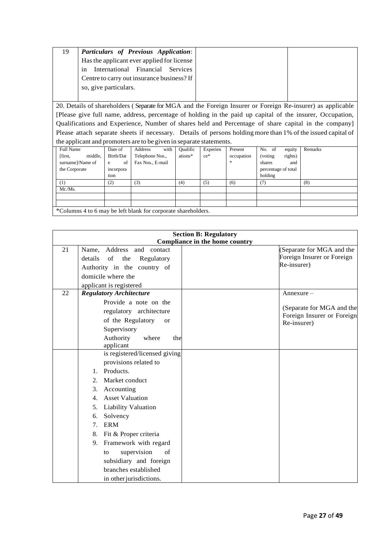| 19 | Particulars of Previous Application:       |
|----|--------------------------------------------|
|    | Has the applicant ever applied for license |
|    | International Financial Services<br>in     |
|    | Centre to carry out insurance business? If |
|    | so, give particulars.                      |
|    |                                            |

20. Details of shareholders ( Separate for MGA and the Foreign Insurer or Foreign Re-insurer) as applicable [Please give full name, address, percentage of holding in the paid up capital of the insurer, Occupation, Qualifications and Experience, Number of shares held and Percentage of share capital in the company] Please attach separate sheets if necessary. Details of persons holding more than 1% of the issued capital of the applicant and promoters are to be given in separate statements.

| . .                                                           |           |                  |                 |          |            |                     |         |
|---------------------------------------------------------------|-----------|------------------|-----------------|----------|------------|---------------------|---------|
| Full Name                                                     | Date of   | with<br>Address  | <b>Qualific</b> | Experien | Present    | No. of<br>equity    | Remarks |
| [first,<br>middle,                                            | Birth/Dat | Telephone Nos.,  | ations*         | $ce^*$   | occupation | rights)<br>(voting) |         |
| surname]/Name of                                              | of<br>e   | Fax Nos., E-mail |                 |          | *          | shares<br>and       |         |
| the Corporate                                                 | incorpora |                  |                 |          |            | percentage of total |         |
|                                                               | tion      |                  |                 |          |            | holding             |         |
| (1)                                                           | (2)       | (3)              | (4)             | (5)      | (6)        | (7)                 | (8)     |
| Mr.Ms.                                                        |           |                  |                 |          |            |                     |         |
|                                                               |           |                  |                 |          |            |                     |         |
|                                                               |           |                  |                 |          |            |                     |         |
| *Columns 4 to 6 may be left blank for corporate shareholders. |           |                  |                 |          |            |                     |         |

|    | <b>Section B: Regulatory</b><br>Compliance in the home country                                                                                                                                                                                                                                                                                                             |  |                                                                                       |  |  |  |
|----|----------------------------------------------------------------------------------------------------------------------------------------------------------------------------------------------------------------------------------------------------------------------------------------------------------------------------------------------------------------------------|--|---------------------------------------------------------------------------------------|--|--|--|
| 21 | Name, Address and contact<br>details<br>of<br>the<br>Regulatory<br>Authority in the country of<br>domicile where the                                                                                                                                                                                                                                                       |  | (Separate for MGA and the<br>Foreign Insurer or Foreign<br>Re-insurer)                |  |  |  |
|    | applicant is registered                                                                                                                                                                                                                                                                                                                                                    |  |                                                                                       |  |  |  |
| 22 | <b>Regulatory Architecture</b><br>Provide a note on the<br>regulatory architecture<br>of the Regulatory<br><b>or</b><br>Supervisory<br>Authority<br>where<br>the<br>applicant                                                                                                                                                                                              |  | $Annexure-$<br>(Separate for MGA and the<br>Foreign Insurer or Foreign<br>Re-insurer) |  |  |  |
|    | is registered/licensed giving<br>provisions related to<br>Products.<br>1.<br>Market conduct<br>2.<br>3.<br>Accounting<br><b>Asset Valuation</b><br>4.<br><b>Liability Valuation</b><br>5.<br>Solvency<br>6.<br><b>ERM</b><br>7.<br>Fit & Proper criteria<br>8.<br>Framework with regard<br>9.<br>supervision<br>of<br>to<br>subsidiary and foreign<br>branches established |  |                                                                                       |  |  |  |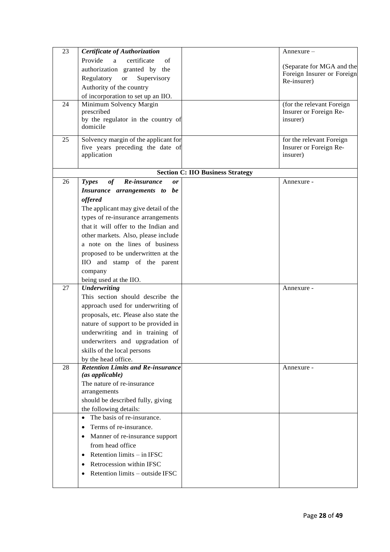| 23 | Certificate of Authorization                    |                                         | Annexure –                                |
|----|-------------------------------------------------|-----------------------------------------|-------------------------------------------|
|    | Provide<br>a<br>certificate<br>of               |                                         |                                           |
|    | authorization granted by the                    |                                         | (Separate for MGA and the                 |
|    | Regulatory<br>Supervisory<br><b>or</b>          |                                         | Foreign Insurer or Foreign<br>Re-insurer) |
|    | Authority of the country                        |                                         |                                           |
|    | of incorporation to set up an IIO.              |                                         |                                           |
| 24 | Minimum Solvency Margin                         |                                         | (for the relevant Foreign                 |
|    | prescribed                                      |                                         | Insurer or Foreign Re-                    |
|    | by the regulator in the country of              |                                         | insurer)                                  |
|    | domicile                                        |                                         |                                           |
| 25 | Solvency margin of the applicant for            |                                         | for the relevant Foreign                  |
|    | five years preceding the date of                |                                         | Insurer or Foreign Re-                    |
|    | application                                     |                                         | insurer)                                  |
|    |                                                 | <b>Section C: IIO Business Strategy</b> |                                           |
| 26 | of<br>Re-insurance<br><b>Types</b><br><b>or</b> |                                         | Annexure -                                |
|    | Insurance arrangements to be                    |                                         |                                           |
|    | offered                                         |                                         |                                           |
|    | The applicant may give detail of the            |                                         |                                           |
|    | types of re-insurance arrangements              |                                         |                                           |
|    | that it will offer to the Indian and            |                                         |                                           |
|    | other markets. Also, please include             |                                         |                                           |
|    | a note on the lines of business                 |                                         |                                           |
|    |                                                 |                                         |                                           |
|    | proposed to be underwritten at the              |                                         |                                           |
|    | IIO and stamp of the parent                     |                                         |                                           |
|    | company                                         |                                         |                                           |
| 27 | being used at the IIO.<br><b>Underwriting</b>   |                                         | Annexure -                                |
|    | This section should describe the                |                                         |                                           |
|    | approach used for underwriting of               |                                         |                                           |
|    | proposals, etc. Please also state the           |                                         |                                           |
|    | nature of support to be provided in             |                                         |                                           |
|    | underwriting and in training of                 |                                         |                                           |
|    | underwriters and upgradation of                 |                                         |                                           |
|    | skills of the local persons                     |                                         |                                           |
|    | by the head office.                             |                                         |                                           |
| 28 | <b>Retention Limits and Re-insurance</b>        |                                         | Annexure -                                |
|    | (as applicable)                                 |                                         |                                           |
|    | The nature of re-insurance                      |                                         |                                           |
|    | arrangements                                    |                                         |                                           |
|    | should be described fully, giving               |                                         |                                           |
|    | the following details:                          |                                         |                                           |
|    | The basis of re-insurance.<br>$\bullet$         |                                         |                                           |
|    | Terms of re-insurance.<br>$\bullet$             |                                         |                                           |
|    | Manner of re-insurance support<br>$\bullet$     |                                         |                                           |
|    | from head office                                |                                         |                                           |
|    | Retention limits - in IFSC<br>٠                 |                                         |                                           |
|    | Retrocession within IFSC<br>$\bullet$           |                                         |                                           |
|    | Retention limits - outside IFSC<br>$\bullet$    |                                         |                                           |
|    |                                                 |                                         |                                           |
|    |                                                 |                                         |                                           |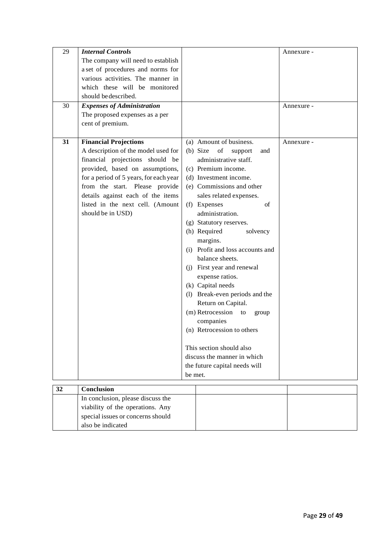| 29 | <b>Internal Controls</b>               |         |                                    | Annexure - |
|----|----------------------------------------|---------|------------------------------------|------------|
|    | The company will need to establish     |         |                                    |            |
|    | a set of procedures and norms for      |         |                                    |            |
|    | various activities. The manner in      |         |                                    |            |
|    | which these will be monitored          |         |                                    |            |
|    | should be described.                   |         |                                    |            |
| 30 | <b>Expenses of Administration</b>      |         |                                    | Annexure - |
|    | The proposed expenses as a per         |         |                                    |            |
|    | cent of premium.                       |         |                                    |            |
| 31 | <b>Financial Projections</b>           |         | (a) Amount of business.            |            |
|    | A description of the model used for    |         | $(b)$ Size<br>of<br>support<br>and | Annexure - |
|    | financial projections should be        |         | administrative staff.              |            |
|    | provided, based on assumptions,        |         | (c) Premium income.                |            |
|    | for a period of 5 years, for each year |         | (d) Investment income.             |            |
|    | from the start. Please provide         |         | (e) Commissions and other          |            |
|    | details against each of the items      |         | sales related expenses.            |            |
|    | listed in the next cell. (Amount       |         | (f) Expenses<br>of                 |            |
|    | should be in USD)                      |         | administration.                    |            |
|    |                                        |         | (g) Statutory reserves.            |            |
|    |                                        |         | (h) Required<br>solvency           |            |
|    |                                        |         | margins.                           |            |
|    |                                        |         | (i) Profit and loss accounts and   |            |
|    |                                        |         | balance sheets.                    |            |
|    |                                        |         | (j) First year and renewal         |            |
|    |                                        |         | expense ratios.                    |            |
|    |                                        |         | (k) Capital needs                  |            |
|    |                                        |         | (1) Break-even periods and the     |            |
|    |                                        |         | Return on Capital.                 |            |
|    |                                        |         | (m) Retrocession to<br>group       |            |
|    |                                        |         | companies                          |            |
|    |                                        |         | (n) Retrocession to others         |            |
|    |                                        |         |                                    |            |
|    |                                        |         | This section should also           |            |
|    |                                        |         | discuss the manner in which        |            |
|    |                                        |         | the future capital needs will      |            |
|    |                                        | be met. |                                    |            |
| 32 | Conclusion                             |         |                                    |            |
|    | In conclusion, please discuss the      |         |                                    |            |
|    | viability of the operations. Any       |         |                                    |            |
|    | special issues or concerns should      |         |                                    |            |

also be indicated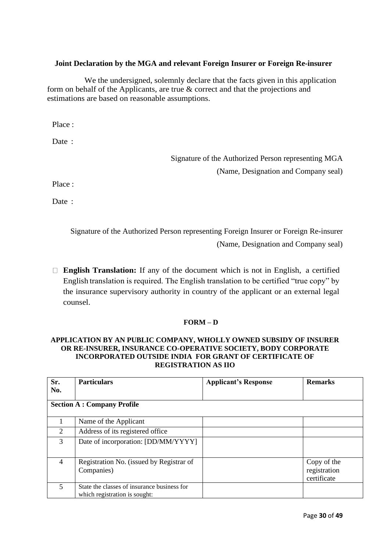### **Joint Declaration by the MGA and relevant Foreign Insurer or Foreign Re-insurer**

We the undersigned, solemnly declare that the facts given in this application form on behalf of the Applicants, are true & correct and that the projections and estimations are based on reasonable assumptions.

Place :

Date :

Signature of the Authorized Person representing MGA (Name, Designation and Company seal)

Place :

Date :

Signature of the Authorized Person representing Foreign Insurer or Foreign Re-insurer (Name, Designation and Company seal)

**English Translation:** If any of the document which is not in English, a certified English translation is required. The English translation to be certified "true copy" by the insurance supervisory authority in country of the applicant or an external legal counsel.

#### **FORM – D**

#### **APPLICATION BY AN PUBLIC COMPANY, WHOLLY OWNED SUBSIDY OF INSURER OR RE-INSURER, INSURANCE CO-OPERATIVE SOCIETY, BODY CORPORATE INCORPORATED OUTSIDE INDIA FOR GRANT OF CERTIFICATE OF REGISTRATION AS IIO**

| Sr.<br>No.     | <b>Particulars</b>                                                           | <b>Applicant's Response</b> | <b>Remarks</b>                             |
|----------------|------------------------------------------------------------------------------|-----------------------------|--------------------------------------------|
|                | <b>Section A: Company Profile</b>                                            |                             |                                            |
|                | Name of the Applicant                                                        |                             |                                            |
| $\overline{2}$ | Address of its registered office                                             |                             |                                            |
| 3              | Date of incorporation: [DD/MM/YYYY]                                          |                             |                                            |
| $\overline{4}$ | Registration No. (issued by Registrar of<br>Companies)                       |                             | Copy of the<br>registration<br>certificate |
| 5              | State the classes of insurance business for<br>which registration is sought: |                             |                                            |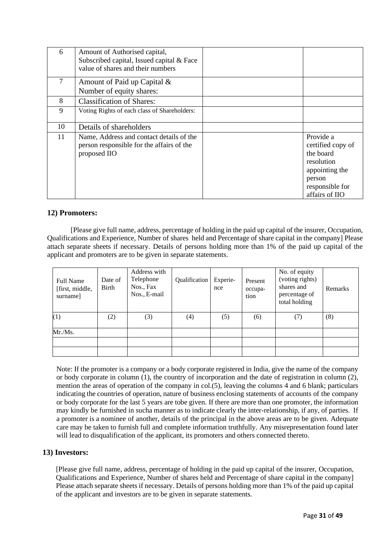| 6  | Amount of Authorised capital,<br>Subscribed capital, Issued capital & Face<br>value of shares and their numbers |                                                                                                                            |
|----|-----------------------------------------------------------------------------------------------------------------|----------------------------------------------------------------------------------------------------------------------------|
| 7  | Amount of Paid up Capital &<br>Number of equity shares:                                                         |                                                                                                                            |
| 8  | <b>Classification of Shares:</b>                                                                                |                                                                                                                            |
| 9  | Voting Rights of each class of Shareholders:                                                                    |                                                                                                                            |
| 10 | Details of shareholders                                                                                         |                                                                                                                            |
| 11 | Name, Address and contact details of the<br>person responsible for the affairs of the<br>proposed IIO           | Provide a<br>certified copy of<br>the board<br>resolution<br>appointing the<br>person<br>responsible for<br>affairs of IIO |

#### **12) Promoters:**

[Please give full name, address, percentage of holding in the paid up capital of the insurer, Occupation, Qualifications and Experience, Number of shares held and Percentage of share capital in the company] Please attach separate sheets if necessary. Details of persons holding more than 1% of the paid up capital of the applicant and promoters are to be given in separate statements.

| <b>Full Name</b><br>[first, middle,<br>surname] | Date of<br>Birth | Address with<br>Telephone<br>Nos., Fax<br>Nos., E-mail | Qualification | Experie-<br>nce | Present<br>occupa-<br>tion | No. of equity<br>(voting rights)<br>shares and<br>percentage of<br>total holding | Remarks |
|-------------------------------------------------|------------------|--------------------------------------------------------|---------------|-----------------|----------------------------|----------------------------------------------------------------------------------|---------|
| (1)                                             | (2)              | (3)                                                    | (4)           | (5)             | (6)                        | (7)                                                                              | (8)     |
| Mr.Ms.                                          |                  |                                                        |               |                 |                            |                                                                                  |         |
|                                                 |                  |                                                        |               |                 |                            |                                                                                  |         |
|                                                 |                  |                                                        |               |                 |                            |                                                                                  |         |

Note: If the promoter is a company or a body corporate registered in India, give the name of the company or body corporate in column (1), the country of incorporation and the date of registration in column (2), mention the areas of operation of the company in col.(5), leaving the columns 4 and 6 blank; particulars indicating the countries of operation, nature of business enclosing statements of accounts of the company or body corporate for the last 5 years are tobe given. If there are more than one promoter, the information may kindly be furnished in sucha manner as to indicate clearly the inter-relationship, if any, of parties. If a promoter is a nominee of another, details of the principal in the above areas are to be given. Adequate care may be taken to furnish full and complete information truthfully. Any misrepresentation found later will lead to disqualification of the applicant, its promoters and others connected thereto.

#### **13) Investors:**

[Please give full name, address, percentage of holding in the paid up capital of the insurer, Occupation, Qualifications and Experience, Number of shares held and Percentage of share capital in the company] Please attach separate sheets if necessary. Details of persons holding more than 1% of the paid up capital of the applicant and investors are to be given in separate statements.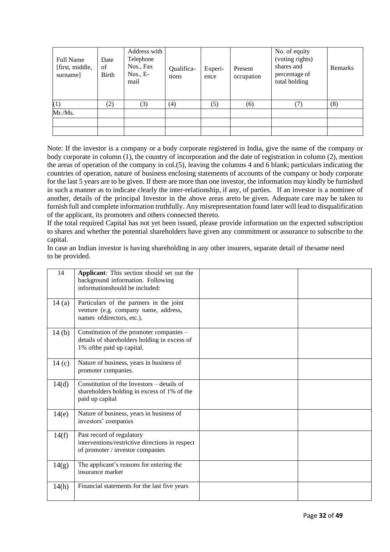| <b>Full Name</b><br>[first, middle,<br>surname] | Date<br>of<br>Birth | Address with<br>Telephone<br>Nos., Fax<br>$N$ os., E-<br>mail | Qualifica-<br>tions | Experi-<br>ence | Present<br>occupation | No. of equity<br>(voting rights)<br>shares and<br>percentage of<br>total holding | Remarks |
|-------------------------------------------------|---------------------|---------------------------------------------------------------|---------------------|-----------------|-----------------------|----------------------------------------------------------------------------------|---------|
| (1)                                             | (2)                 | (3)                                                           | (4)                 | (5)             | (6)                   | 7)                                                                               | (8)     |
| Mr.Ms.                                          |                     |                                                               |                     |                 |                       |                                                                                  |         |
|                                                 |                     |                                                               |                     |                 |                       |                                                                                  |         |
|                                                 |                     |                                                               |                     |                 |                       |                                                                                  |         |

Note: If the investor is a company or a body corporate registered in India, give the name of the company or body corporate in column (1), the country of incorporation and the date of registration in column (2), mention the areas of operation of the company in col.(5), leaving the columns 4 and 6 blank; particulars indicating the countries of operation, nature of business enclosing statements of accounts of the company or body corporate for the last 5 years are to be given. If there are more than one investor, the information may kindly be furnished in such a manner as to indicate clearly the inter-relationship, if any, of parties. If an investor is a nominee of another, details of the principal Investor in the above areas areto be given. Adequate care may be taken to furnish full and complete information truthfully. Any misrepresentation found later will lead to disqualification of the applicant, its promoters and others connected thereto.

If the total required Capital has not yet been issued, please provide information on the expected subscription to shares and whether the potential shareholders have given any commitment or assurance to subscribe to the capital.

In case an Indian investor is having shareholding in any other insurers, separate detail of thesame need to be provided.

| 14    | Applicant: This section should set out the<br>background information. Following<br>informationshould be included:      |  |
|-------|------------------------------------------------------------------------------------------------------------------------|--|
| 14(a) | Particulars of the partners in the joint<br>venture (e.g. company name, address,<br>names ofdirectors, etc.).          |  |
| 14(b) | Constitution of the promoter companies -<br>details of shareholders holding in excess of<br>1% of the paid up capital. |  |
| 14(c) | Nature of business, years in business of<br>promoter companies.                                                        |  |
| 14(d) | Constitution of the Investors $-\delta$ details of<br>shareholders holding in excess of 1% of the<br>paid up capital   |  |
| 14(e) | Nature of business, years in business of<br>investors' companies                                                       |  |
| 14(f) | Past record of regulatory<br>interventions/restrictive directions in respect<br>of promoter / investor companies       |  |
| 14(g) | The applicant's reasons for entering the<br>insurance market                                                           |  |
| 14(h) | Financial statements for the last five years                                                                           |  |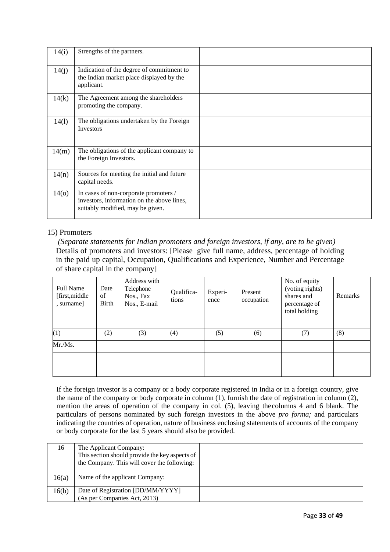| 14(i)           | Strengths of the partners.                                                                                              |  |
|-----------------|-------------------------------------------------------------------------------------------------------------------------|--|
| 14(j)           | Indication of the degree of commitment to<br>the Indian market place displayed by the<br>applicant.                     |  |
| 14(k)           | The Agreement among the shareholders<br>promoting the company.                                                          |  |
| 14(1)           | The obligations undertaken by the Foreign<br>Investors                                                                  |  |
| 14(m)           | The obligations of the applicant company to<br>the Foreign Investors.                                                   |  |
| 14(n)           | Sources for meeting the initial and future<br>capital needs.                                                            |  |
| 14 <sub>o</sub> | In cases of non-corporate promoters /<br>investors, information on the above lines,<br>suitably modified, may be given. |  |

#### 15) Promoters

*(Separate statements for Indian promoters and foreign investors, if any, are to be given)* Details of promoters and investors: [Please give full name, address, percentage of holding in the paid up capital, Occupation, Qualifications and Experience, Number and Percentage of share capital in the company]

| Full Name<br>[first,middle]<br>, surname] | Date<br>of<br>Birth | Address with<br>Telephone<br>Nos., Fax<br>Nos., E-mail | Qualifica-<br>tions | Experi-<br>ence | Present<br>occupation | No. of equity<br>(voting rights)<br>shares and<br>percentage of<br>total holding | Remarks |
|-------------------------------------------|---------------------|--------------------------------------------------------|---------------------|-----------------|-----------------------|----------------------------------------------------------------------------------|---------|
| (1)                                       | (2)                 | (3)                                                    | (4)                 | (5)             | (6)                   | (7)                                                                              | (8)     |
| Mr./Ms.                                   |                     |                                                        |                     |                 |                       |                                                                                  |         |
|                                           |                     |                                                        |                     |                 |                       |                                                                                  |         |
|                                           |                     |                                                        |                     |                 |                       |                                                                                  |         |

If the foreign investor is a company or a body corporate registered in India or in a foreign country, give the name of the company or body corporate in column (1), furnish the date of registration in column (2), mention the areas of operation of the company in col. (5), leaving thecolumns 4 and 6 blank. The particulars of persons nominated by such foreign investors in the above *pro forma;* and particulars indicating the countries of operation, nature of business enclosing statements of accounts of the company or body corporate for the last 5 years should also be provided.

| 16    | The Applicant Company:<br>This section should provide the key aspects of<br>the Company. This will cover the following: |  |
|-------|-------------------------------------------------------------------------------------------------------------------------|--|
| 16(a) | Name of the applicant Company:                                                                                          |  |
| 16(b) | Date of Registration [DD/MM/YYYY]<br>(As per Companies Act, 2013)                                                       |  |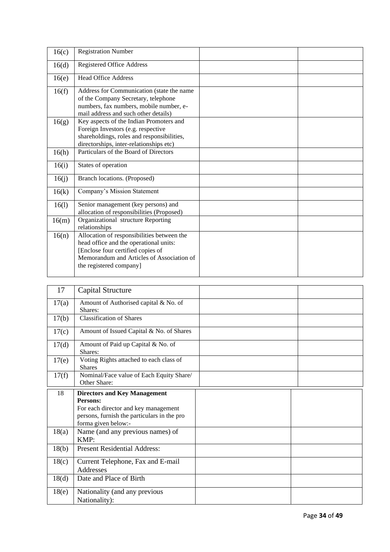| 16(c) | <b>Registration Number</b>                                                                                                                                                                        |  |
|-------|---------------------------------------------------------------------------------------------------------------------------------------------------------------------------------------------------|--|
| 16(d) | <b>Registered Office Address</b>                                                                                                                                                                  |  |
| 16(e) | <b>Head Office Address</b>                                                                                                                                                                        |  |
| 16(f) | Address for Communication (state the name<br>of the Company Secretary, telephone<br>numbers, fax numbers, mobile number, e-<br>mail address and such other details)                               |  |
| 16(g) | Key aspects of the Indian Promoters and<br>Foreign Investors (e.g. respective<br>shareholdings, roles and responsibilities,<br>directorships, inter-relationships etc)                            |  |
| 16(h) | Particulars of the Board of Directors                                                                                                                                                             |  |
| 16(i) | States of operation                                                                                                                                                                               |  |
| 16(j) | Branch locations. (Proposed)                                                                                                                                                                      |  |
| 16(k) | Company's Mission Statement                                                                                                                                                                       |  |
| 16(1) | Senior management (key persons) and<br>allocation of responsibilities (Proposed)                                                                                                                  |  |
| 16(m) | Organizational structure Reporting<br>relationships                                                                                                                                               |  |
| 16(n) | Allocation of responsibilities between the<br>head office and the operational units:<br>[Enclose four certified copies of<br>Memorandum and Articles of Association of<br>the registered company] |  |

| 17              | Capital Structure                                                                                                                                             |  |
|-----------------|---------------------------------------------------------------------------------------------------------------------------------------------------------------|--|
| 17(a)           | Amount of Authorised capital & No. of<br>Shares:                                                                                                              |  |
| 17(b)           | <b>Classification of Shares</b>                                                                                                                               |  |
| 17(c)           | Amount of Issued Capital & No. of Shares                                                                                                                      |  |
| 17 <sub>d</sub> | Amount of Paid up Capital & No. of<br>Shares:                                                                                                                 |  |
| 17(e)           | Voting Rights attached to each class of<br><b>Shares</b>                                                                                                      |  |
| 17(f)           | Nominal/Face value of Each Equity Share/<br>Other Share:                                                                                                      |  |
| 18              | <b>Directors and Key Management</b><br>Persons:<br>For each director and key management<br>persons, furnish the particulars in the pro<br>forma given below:- |  |
| 18(a)           | Name (and any previous names) of<br>KMP:                                                                                                                      |  |
| 18(b)           | <b>Present Residential Address:</b>                                                                                                                           |  |
| 18(c)           | Current Telephone, Fax and E-mail<br>Addresses                                                                                                                |  |
| 18 <sub>d</sub> | Date and Place of Birth                                                                                                                                       |  |
| 18(e)           | Nationality (and any previous<br>Nationality):                                                                                                                |  |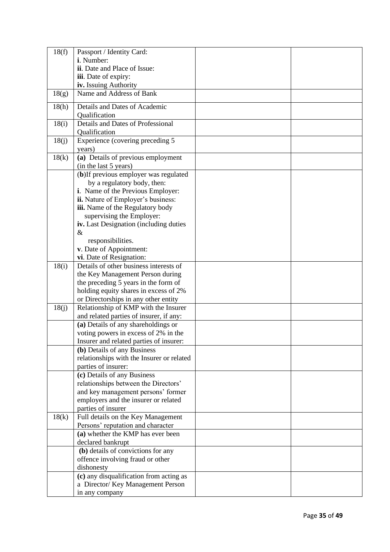| 18(f) | Passport / Identity Card:                      |  |
|-------|------------------------------------------------|--|
|       | i. Number:                                     |  |
|       | ii. Date and Place of Issue:                   |  |
|       | iii. Date of expiry:                           |  |
|       | iv. Issuing Authority                          |  |
| 18(g) | Name and Address of Bank                       |  |
| 18(h) | Details and Dates of Academic<br>Qualification |  |
| 18(i) | Details and Dates of Professional              |  |
|       | Qualification                                  |  |
| 18(j) | Experience (covering preceding 5               |  |
|       | years)                                         |  |
| 18(k) | (a) Details of previous employment             |  |
|       | (in the last 5 years)                          |  |
|       | (b)If previous employer was regulated          |  |
|       | by a regulatory body, then:                    |  |
|       | i. Name of the Previous Employer:              |  |
|       | ii. Nature of Employer's business:             |  |
|       | iii. Name of the Regulatory body               |  |
|       | supervising the Employer:                      |  |
|       | iv. Last Designation (including duties         |  |
|       | &<br>responsibilities.                         |  |
|       | v. Date of Appointment:                        |  |
|       | vi. Date of Resignation:                       |  |
| 18(i) | Details of other business interests of         |  |
|       | the Key Management Person during               |  |
|       | the preceding 5 years in the form of           |  |
|       | holding equity shares in excess of 2%          |  |
|       | or Directorships in any other entity           |  |
| 18(j) | Relationship of KMP with the Insurer           |  |
|       | and related parties of insurer, if any:        |  |
|       | (a) Details of any shareholdings or            |  |
|       | voting powers in excess of 2% in the           |  |
|       | Insurer and related parties of insurer:        |  |
|       | (b) Details of any Business                    |  |
|       | relationships with the Insurer or related      |  |
|       | parties of insurer:                            |  |
|       | (c) Details of any Business                    |  |
|       | relationships between the Directors'           |  |
|       | and key management persons' former             |  |
|       | employers and the insurer or related           |  |
|       | parties of insurer                             |  |
| 18(k) | Full details on the Key Management             |  |
|       | Persons' reputation and character              |  |
|       | (a) whether the KMP has ever been              |  |
|       | declared bankrupt                              |  |
|       | (b) details of convictions for any             |  |
|       | offence involving fraud or other               |  |
|       | dishonesty                                     |  |
|       | (c) any disqualification from acting as        |  |
|       | a Director/ Key Management Person              |  |
|       | in any company                                 |  |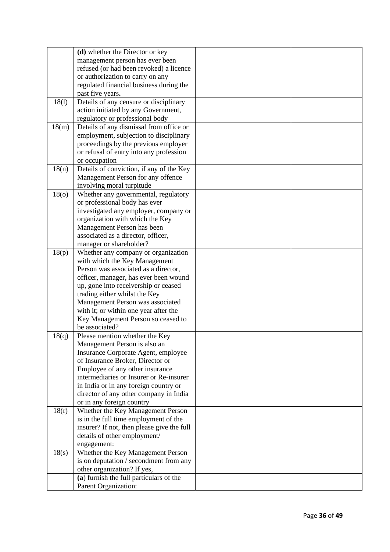|                 | (d) whether the Director or key            |  |
|-----------------|--------------------------------------------|--|
|                 | management person has ever been            |  |
|                 | refused (or had been revoked) a licence    |  |
|                 | or authorization to carry on any           |  |
|                 | regulated financial business during the    |  |
|                 | past five years.                           |  |
| 18(1)           | Details of any censure or disciplinary     |  |
|                 | action initiated by any Government,        |  |
|                 | regulatory or professional body            |  |
| 18(m)           | Details of any dismissal from office or    |  |
|                 | employment, subjection to disciplinary     |  |
|                 | proceedings by the previous employer       |  |
|                 | or refusal of entry into any profession    |  |
|                 | or occupation                              |  |
| 18(n)           | Details of conviction, if any of the Key   |  |
|                 | Management Person for any offence          |  |
|                 | involving moral turpitude                  |  |
| 18 <sub>o</sub> | Whether any governmental, regulatory       |  |
|                 | or professional body has ever              |  |
|                 | investigated any employer, company or      |  |
|                 | organization with which the Key            |  |
|                 | Management Person has been                 |  |
|                 | associated as a director, officer,         |  |
|                 | manager or shareholder?                    |  |
| 18(p)           | Whether any company or organization        |  |
|                 | with which the Key Management              |  |
|                 | Person was associated as a director,       |  |
|                 | officer, manager, has ever been wound      |  |
|                 | up, gone into receivership or ceased       |  |
|                 | trading either whilst the Key              |  |
|                 | Management Person was associated           |  |
|                 | with it; or within one year after the      |  |
|                 | Key Management Person so ceased to         |  |
|                 | be associated?                             |  |
| 18(q)           | Please mention whether the Key             |  |
|                 | Management Person is also an               |  |
|                 | Insurance Corporate Agent, employee        |  |
|                 | of Insurance Broker, Director or           |  |
|                 | Employee of any other insurance            |  |
|                 | intermediaries or Insurer or Re-insurer    |  |
|                 | in India or in any foreign country or      |  |
|                 | director of any other company in India     |  |
|                 | or in any foreign country                  |  |
| 18(r)           | Whether the Key Management Person          |  |
|                 | is in the full time employment of the      |  |
|                 | insurer? If not, then please give the full |  |
|                 | details of other employment/               |  |
|                 | engagement:                                |  |
| 18(s)           | Whether the Key Management Person          |  |
|                 | is on deputation / secondment from any     |  |
|                 | other organization? If yes,                |  |
|                 | (a) furnish the full particulars of the    |  |
|                 | Parent Organization:                       |  |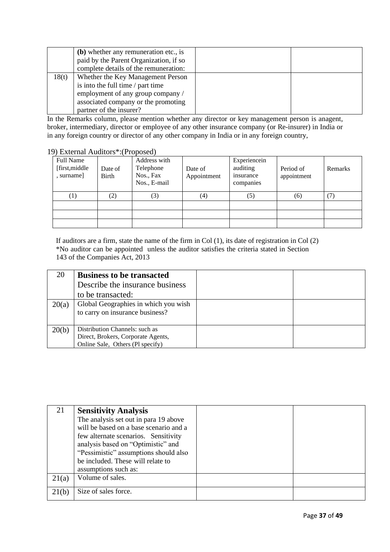|       | (b) whether any remuneration etc., is<br>paid by the Parent Organization, if so<br>complete details of the remuneration:                                                      |  |
|-------|-------------------------------------------------------------------------------------------------------------------------------------------------------------------------------|--|
| 18(t) | Whether the Key Management Person<br>is into the full time / part time<br>employment of any group company /<br>associated company or the promoting<br>partner of the insurer? |  |

In the Remarks column, please mention whether any director or key management person is anagent, broker, intermediary, director or employee of any other insurance company (or Re-insurer) in India or in any foreign country or director of any other company in India or in any foreign country,

|  | 19) External Auditors*: (Proposed) |  |
|--|------------------------------------|--|
|  |                                    |  |

| Full Name<br>[first,middle]<br>, surname] | Date of<br>Birth  | Address with<br>Telephone<br>Nos., Fax<br>Nos., E-mail | Date of<br>Appointment | Experiencein<br>auditing<br>insurance<br>companies | Period of<br>appointment | Remarks |
|-------------------------------------------|-------------------|--------------------------------------------------------|------------------------|----------------------------------------------------|--------------------------|---------|
| (1)                                       | $\left( 2\right)$ | (3)                                                    | $\scriptstyle{(4)}$    | (5)                                                | (6)                      |         |
|                                           |                   |                                                        |                        |                                                    |                          |         |

If auditors are a firm, state the name of the firm in Col (1), its date of registration in Col (2) \*No auditor can be appointed unless the auditor satisfies the criteria stated in Section 143 of the Companies Act, 2013

| 20    | <b>Business to be transacted</b>                                        |  |
|-------|-------------------------------------------------------------------------|--|
|       | Describe the insurance business                                         |  |
|       | to be transacted:                                                       |  |
| 20(a) | Global Geographies in which you wish<br>to carry on insurance business? |  |
| 20(b) | Distribution Channels: such as                                          |  |
|       | Direct, Brokers, Corporate Agents,<br>Online Sale, Others (Pl specify)  |  |

| 21    | <b>Sensitivity Analysis</b>            |  |
|-------|----------------------------------------|--|
|       | The analysis set out in para 19 above  |  |
|       | will be based on a base scenario and a |  |
|       | few alternate scenarios. Sensitivity   |  |
|       | analysis based on "Optimistic" and     |  |
|       | "Pessimistic" assumptions should also  |  |
|       | be included. These will relate to      |  |
|       | assumptions such as:                   |  |
| 21(a) | Volume of sales.                       |  |
|       |                                        |  |
| 21(b) | Size of sales force.                   |  |
|       |                                        |  |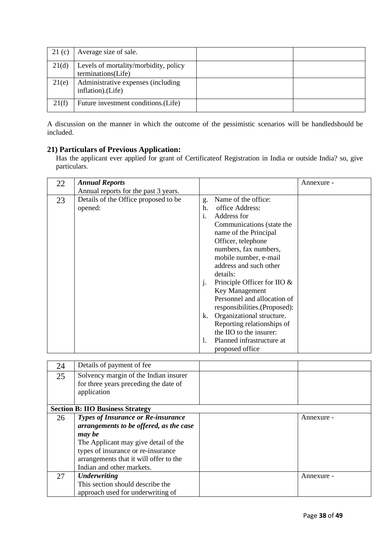| 21(c) | Average size of sale.                                       |  |
|-------|-------------------------------------------------------------|--|
| 21(d) | Levels of mortality/morbidity, policy<br>terminations(Life) |  |
| 21(e) | Administrative expenses (including<br>inflation).(Life)     |  |
| 21(f) | Future investment conditions. (Life)                        |  |

A discussion on the manner in which the outcome of the pessimistic scenarios will be handledshould be included.

#### **21) Particulars of Previous Application:**

Has the applicant ever applied for grant of Certificateof Registration in India or outside India? so, give particulars.

| 22 | <b>Annual Reports</b>                |         |                                | Annexure - |
|----|--------------------------------------|---------|--------------------------------|------------|
|    | Annual reports for the past 3 years. |         |                                |            |
| 23 | Details of the Office proposed to be | g.      | Name of the office:            |            |
|    | opened:                              | h.      | office Address:                |            |
|    |                                      | i.      | Address for                    |            |
|    |                                      |         | Communications (state the      |            |
|    |                                      |         | name of the Principal          |            |
|    |                                      |         | Officer, telephone             |            |
|    |                                      |         | numbers, fax numbers,          |            |
|    |                                      |         | mobile number, e-mail          |            |
|    |                                      |         | address and such other         |            |
|    |                                      |         | details:                       |            |
|    |                                      | $\cdot$ | Principle Officer for IIO $\&$ |            |
|    |                                      |         | Key Management                 |            |
|    |                                      |         | Personnel and allocation of    |            |
|    |                                      |         | responsibilities. (Proposed):  |            |
|    |                                      | k.      | Organizational structure.      |            |
|    |                                      |         | Reporting relationships of     |            |
|    |                                      |         | the IIO to the insurer:        |            |
|    |                                      | 1.      | Planned infrastructure at      |            |
|    |                                      |         | proposed office                |            |

| 24 | Details of payment of fee                                                                     |            |
|----|-----------------------------------------------------------------------------------------------|------------|
| 25 | Solvency margin of the Indian insurer<br>for three years preceding the date of<br>application |            |
|    | <b>Section B: IIO Business Strategy</b>                                                       |            |
| 26 | <b>Types of Insurance or Re-insurance</b>                                                     | Annexure - |
|    | arrangements to be offered, as the case                                                       |            |
|    | may be                                                                                        |            |
|    | The Applicant may give detail of the                                                          |            |
|    | types of insurance or re-insurance                                                            |            |
|    | arrangements that it will offer to the                                                        |            |
|    | Indian and other markets.                                                                     |            |
| 27 | <b>Underwriting</b>                                                                           | Annexure - |
|    | This section should describe the                                                              |            |
|    | approach used for underwriting of                                                             |            |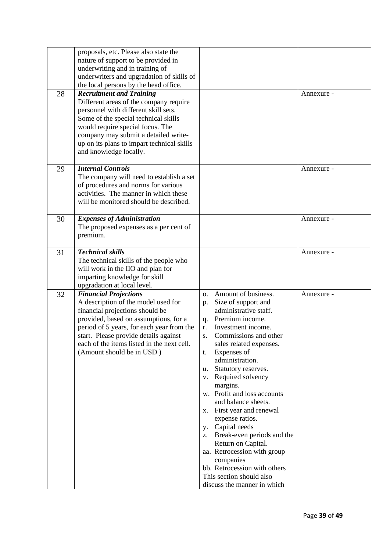| 28 | proposals, etc. Please also state the<br>nature of support to be provided in<br>underwriting and in training of<br>underwriters and upgradation of skills of<br>the local persons by the head office.<br><b>Recruitment and Training</b><br>Different areas of the company require<br>personnel with different skill sets.<br>Some of the special technical skills<br>would require special focus. The<br>company may submit a detailed write-<br>up on its plans to impart technical skills<br>and knowledge locally. |                                                                                                                                                                                                                                                                                                                                                                                                                                                                                                                                                                                                                                    | Annexure - |
|----|------------------------------------------------------------------------------------------------------------------------------------------------------------------------------------------------------------------------------------------------------------------------------------------------------------------------------------------------------------------------------------------------------------------------------------------------------------------------------------------------------------------------|------------------------------------------------------------------------------------------------------------------------------------------------------------------------------------------------------------------------------------------------------------------------------------------------------------------------------------------------------------------------------------------------------------------------------------------------------------------------------------------------------------------------------------------------------------------------------------------------------------------------------------|------------|
| 29 | <b>Internal Controls</b><br>The company will need to establish a set<br>of procedures and norms for various<br>activities. The manner in which these<br>will be monitored should be described.                                                                                                                                                                                                                                                                                                                         |                                                                                                                                                                                                                                                                                                                                                                                                                                                                                                                                                                                                                                    | Annexure - |
| 30 | <b>Expenses of Administration</b><br>The proposed expenses as a per cent of<br>premium.                                                                                                                                                                                                                                                                                                                                                                                                                                |                                                                                                                                                                                                                                                                                                                                                                                                                                                                                                                                                                                                                                    | Annexure - |
| 31 | <b>Technical skills</b><br>The technical skills of the people who<br>will work in the IIO and plan for<br>imparting knowledge for skill<br>upgradation at local level.                                                                                                                                                                                                                                                                                                                                                 |                                                                                                                                                                                                                                                                                                                                                                                                                                                                                                                                                                                                                                    | Annexure - |
| 32 | <b>Financial Projections</b><br>A description of the model used for<br>financial projections should be<br>provided, based on assumptions, for a<br>period of 5 years, for each year from the<br>start. Please provide details against<br>each of the items listed in the next cell.<br>(Amount should be in USD)                                                                                                                                                                                                       | Amount of business.<br>0.<br>Size of support and<br>p.<br>administrative staff.<br>Premium income.<br>q.<br>Investment income.<br>r.<br>Commissions and other<br>S.<br>sales related expenses.<br>Expenses of<br>t.<br>administration.<br>Statutory reserves.<br>u.<br>v. Required solvency<br>margins.<br>w. Profit and loss accounts<br>and balance sheets.<br>First year and renewal<br>х.<br>expense ratios.<br>y. Capital needs<br>z. Break-even periods and the<br>Return on Capital.<br>aa. Retrocession with group<br>companies<br>bb. Retrocession with others<br>This section should also<br>discuss the manner in which | Annexure - |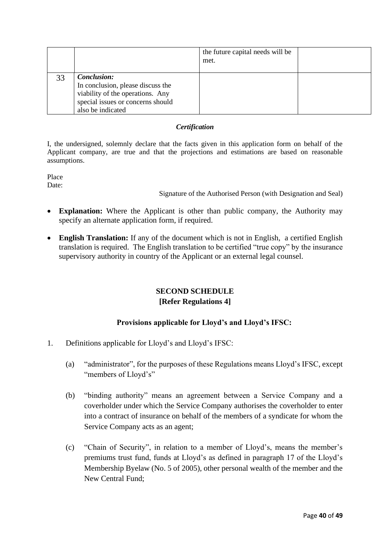|    |                                                                                                                                                       | the future capital needs will be<br>met. |  |
|----|-------------------------------------------------------------------------------------------------------------------------------------------------------|------------------------------------------|--|
| 33 | <b>Conclusion:</b><br>In conclusion, please discuss the<br>viability of the operations. Any<br>special issues or concerns should<br>also be indicated |                                          |  |

#### *Certification*

I, the undersigned, solemnly declare that the facts given in this application form on behalf of the Applicant company, are true and that the projections and estimations are based on reasonable assumptions.

Place Date:

Signature of the Authorised Person (with Designation and Seal)

- **Explanation:** Where the Applicant is other than public company, the Authority may specify an alternate application form, if required.
- **English Translation:** If any of the document which is not in English, a certified English translation is required. The English translation to be certified "true copy" by the insurance supervisory authority in country of the Applicant or an external legal counsel.

## **SECOND SCHEDULE [Refer Regulations 4]**

## **Provisions applicable for Lloyd's and Lloyd's IFSC:**

- 1. Definitions applicable for Lloyd's and Lloyd's IFSC:
	- (a) "administrator", for the purposes of these Regulations means Lloyd's IFSC, except "members of Lloyd's"
	- (b) "binding authority" means an agreement between a Service Company and a coverholder under which the Service Company authorises the coverholder to enter into a contract of insurance on behalf of the members of a syndicate for whom the Service Company acts as an agent;
	- (c) "Chain of Security", in relation to a member of Lloyd's, means the member's premiums trust fund, funds at Lloyd's as defined in paragraph 17 of the Lloyd's Membership Byelaw (No. 5 of 2005), other personal wealth of the member and the New Central Fund;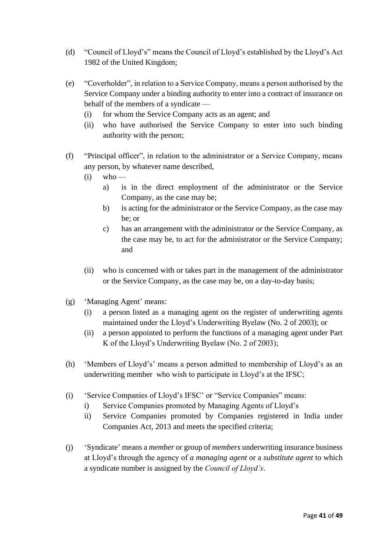- (d) "Council of Lloyd's" means the Council of Lloyd's established by the Lloyd's Act 1982 of the United Kingdom;
- (e) "Coverholder", in relation to a Service Company, means a person authorised by the Service Company under a binding authority to enter into a contract of insurance on behalf of the members of a syndicate —
	- (i) for whom the Service Company acts as an agent; and
	- (ii) who have authorised the Service Company to enter into such binding authority with the person;
- (f) "Principal officer", in relation to the administrator or a Service Company, means any person, by whatever name described,
	- $(i)$  who
		- a) is in the direct employment of the administrator or the Service Company, as the case may be;
		- b) is acting for the administrator or the Service Company, as the case may be; or
		- c) has an arrangement with the administrator or the Service Company, as the case may be, to act for the administrator or the Service Company; and
	- (ii) who is concerned with or takes part in the management of the administrator or the Service Company, as the case may be, on a day-to-day basis;
- (g) 'Managing Agent' means:
	- (i) a person listed as a managing agent on the register of underwriting agents maintained under the Lloyd's Underwriting Byelaw (No. 2 of 2003); or
	- (ii) a person appointed to perform the functions of a managing agent under Part K of the Lloyd's Underwriting Byelaw (No. 2 of 2003);
- (h) 'Members of Lloyd's' means a person admitted to membership of Lloyd's as an underwriting member who wish to participate in Lloyd's at the IFSC;
- (i) 'Service Companies of Lloyd's IFSC' or "Service Companies" means:
	- i) Service Companies promoted by Managing Agents of Lloyd's
	- ii) Service Companies promoted by Companies registered in India under Companies Act, 2013 and meets the specified criteria;
- (j) 'Syndicate' means a *member* or group of *members* underwriting insurance business at Lloyd's through the agency of *a managing agent* or a *substitute agent* to which a syndicate number is assigned by the *Council of Lloyd's*.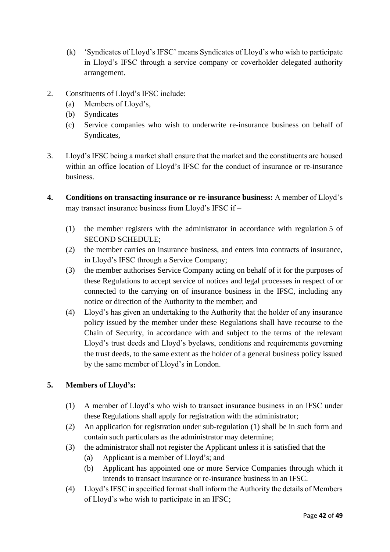- (k) 'Syndicates of Lloyd's IFSC' means Syndicates of Lloyd's who wish to participate in Lloyd's IFSC through a service company or coverholder delegated authority arrangement.
- 2. Constituents of Lloyd's IFSC include:
	- (a) Members of Lloyd's,
	- (b) Syndicates
	- (c) Service companies who wish to underwrite re-insurance business on behalf of Syndicates,
- 3. Lloyd's IFSC being a market shall ensure that the market and the constituents are housed within an office location of Lloyd's IFSC for the conduct of insurance or re-insurance business.
- **4. Conditions on transacting insurance or re-insurance business:** A member of Lloyd's may transact insurance business from Lloyd's IFSC if –
	- (1) the member registers with the administrator in accordance with regulation 5 of SECOND SCHEDULE;
	- (2) the member carries on insurance business, and enters into contracts of insurance, in Lloyd's IFSC through a Service Company;
	- (3) the member authorises Service Company acting on behalf of it for the purposes of these Regulations to accept service of notices and legal processes in respect of or connected to the carrying on of insurance business in the IFSC, including any notice or direction of the Authority to the member; and
	- (4) Lloyd's has given an undertaking to the Authority that the holder of any insurance policy issued by the member under these Regulations shall have recourse to the Chain of Security, in accordance with and subject to the terms of the relevant Lloyd's trust deeds and Lloyd's byelaws, conditions and requirements governing the trust deeds, to the same extent as the holder of a general business policy issued by the same member of Lloyd's in London.

## **5. Members of Lloyd's:**

- (1) A member of Lloyd's who wish to transact insurance business in an IFSC under these Regulations shall apply for registration with the administrator;
- (2) An application for registration under sub-regulation (1) shall be in such form and contain such particulars as the administrator may determine;
- (3) the administrator shall not register the Applicant unless it is satisfied that the
	- (a) Applicant is a member of Lloyd's; and
	- (b) Applicant has appointed one or more Service Companies through which it intends to transact insurance or re-insurance business in an IFSC.
- (4) Lloyd's IFSC in specified format shall inform the Authority the details of Members of Lloyd's who wish to participate in an IFSC;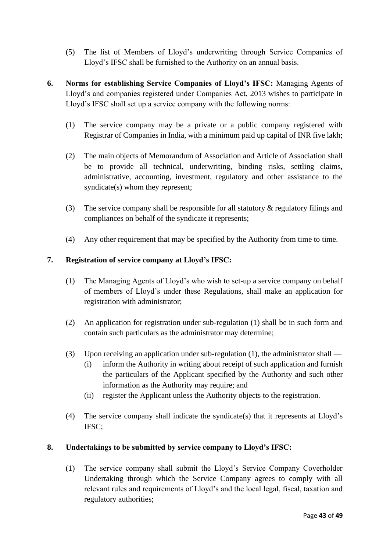- (5) The list of Members of Lloyd's underwriting through Service Companies of Lloyd's IFSC shall be furnished to the Authority on an annual basis.
- **6. Norms for establishing Service Companies of Lloyd's IFSC:** Managing Agents of Lloyd's and companies registered under Companies Act, 2013 wishes to participate in Lloyd's IFSC shall set up a service company with the following norms:
	- (1) The service company may be a private or a public company registered with Registrar of Companies in India, with a minimum paid up capital of INR five lakh;
	- (2) The main objects of Memorandum of Association and Article of Association shall be to provide all technical, underwriting, binding risks, settling claims, administrative, accounting, investment, regulatory and other assistance to the syndicate(s) whom they represent;
	- (3) The service company shall be responsible for all statutory & regulatory filings and compliances on behalf of the syndicate it represents;
	- (4) Any other requirement that may be specified by the Authority from time to time.

#### **7. Registration of service company at Lloyd's IFSC:**

- (1) The Managing Agents of Lloyd's who wish to set-up a service company on behalf of members of Lloyd's under these Regulations, shall make an application for registration with administrator;
- (2) An application for registration under sub-regulation (1) shall be in such form and contain such particulars as the administrator may determine;
- (3) Upon receiving an application under sub-regulation (1), the administrator shall
	- (i) inform the Authority in writing about receipt of such application and furnish the particulars of the Applicant specified by the Authority and such other information as the Authority may require; and
	- (ii) register the Applicant unless the Authority objects to the registration.
- (4) The service company shall indicate the syndicate(s) that it represents at Lloyd's IFSC;

## **8. Undertakings to be submitted by service company to Lloyd's IFSC:**

(1) The service company shall submit the Lloyd's Service Company Coverholder Undertaking through which the Service Company agrees to comply with all relevant rules and requirements of Lloyd's and the local legal, fiscal, taxation and regulatory authorities;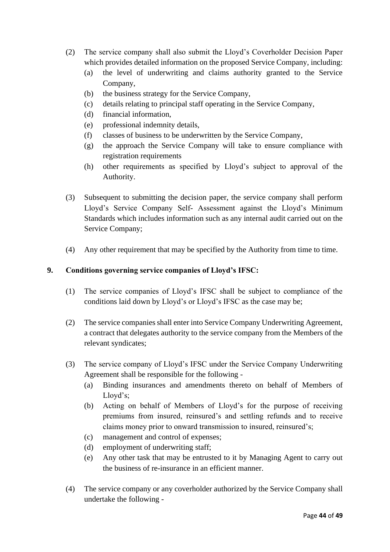- (2) The service company shall also submit the Lloyd's Coverholder Decision Paper which provides detailed information on the proposed Service Company, including:
	- (a) the level of underwriting and claims authority granted to the Service Company,
	- (b) the business strategy for the Service Company,
	- (c) details relating to principal staff operating in the Service Company,
	- (d) financial information,
	- (e) professional indemnity details,
	- (f) classes of business to be underwritten by the Service Company,
	- (g) the approach the Service Company will take to ensure compliance with registration requirements
	- (h) other requirements as specified by Lloyd's subject to approval of the Authority.
- (3) Subsequent to submitting the decision paper, the service company shall perform Lloyd's Service Company Self- Assessment against the Lloyd's Minimum Standards which includes information such as any internal audit carried out on the Service Company;
- (4) Any other requirement that may be specified by the Authority from time to time.

#### **9. Conditions governing service companies of Lloyd's IFSC:**

- (1) The service companies of Lloyd's IFSC shall be subject to compliance of the conditions laid down by Lloyd's or Lloyd's IFSC as the case may be;
- (2) The service companies shall enter into Service Company Underwriting Agreement, a contract that delegates authority to the service company from the Members of the relevant syndicates;
- (3) The service company of Lloyd's IFSC under the Service Company Underwriting Agreement shall be responsible for the following -
	- (a) Binding insurances and amendments thereto on behalf of Members of Lloyd's;
	- (b) Acting on behalf of Members of Lloyd's for the purpose of receiving premiums from insured, reinsured's and settling refunds and to receive claims money prior to onward transmission to insured, reinsured's;
	- (c) management and control of expenses;
	- (d) employment of underwriting staff;
	- (e) Any other task that may be entrusted to it by Managing Agent to carry out the business of re-insurance in an efficient manner.
- (4) The service company or any coverholder authorized by the Service Company shall undertake the following -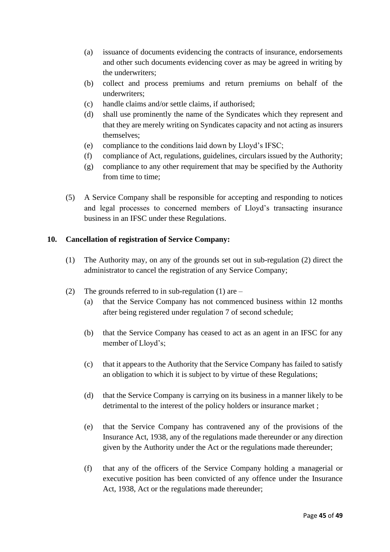- (a) issuance of documents evidencing the contracts of insurance, endorsements and other such documents evidencing cover as may be agreed in writing by the underwriters;
- (b) collect and process premiums and return premiums on behalf of the underwriters;
- (c) handle claims and/or settle claims, if authorised;
- (d) shall use prominently the name of the Syndicates which they represent and that they are merely writing on Syndicates capacity and not acting as insurers themselves;
- (e) compliance to the conditions laid down by Lloyd's IFSC;
- (f) compliance of Act, regulations, guidelines, circulars issued by the Authority;
- (g) compliance to any other requirement that may be specified by the Authority from time to time;
- (5) A Service Company shall be responsible for accepting and responding to notices and legal processes to concerned members of Lloyd's transacting insurance business in an IFSC under these Regulations.

#### **10. Cancellation of registration of Service Company:**

- (1) The Authority may, on any of the grounds set out in sub-regulation (2) direct the administrator to cancel the registration of any Service Company;
- (2) The grounds referred to in sub-regulation (1) are
	- (a) that the Service Company has not commenced business within 12 months after being registered under regulation 7 of second schedule;
	- (b) that the Service Company has ceased to act as an agent in an IFSC for any member of Lloyd's;
	- (c) that it appears to the Authority that the Service Company has failed to satisfy an obligation to which it is subject to by virtue of these Regulations;
	- (d) that the Service Company is carrying on its business in a manner likely to be detrimental to the interest of the policy holders or insurance market ;
	- (e) that the Service Company has contravened any of the provisions of the Insurance Act, 1938, any of the regulations made thereunder or any direction given by the Authority under the Act or the regulations made thereunder;
	- (f) that any of the officers of the Service Company holding a managerial or executive position has been convicted of any offence under the Insurance Act, 1938, Act or the regulations made thereunder;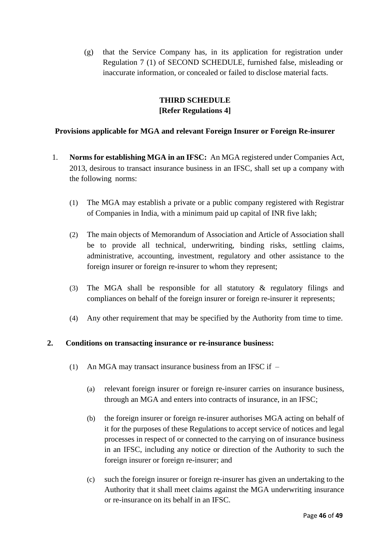(g) that the Service Company has, in its application for registration under Regulation 7 (1) of SECOND SCHEDULE, furnished false, misleading or inaccurate information, or concealed or failed to disclose material facts.

## **THIRD SCHEDULE [Refer Regulations 4]**

### **Provisions applicable for MGA and relevant Foreign Insurer or Foreign Re-insurer**

- 1. **Norms for establishing MGA in an IFSC:** An MGA registered under Companies Act, 2013, desirous to transact insurance business in an IFSC, shall set up a company with the following norms:
	- (1) The MGA may establish a private or a public company registered with Registrar of Companies in India, with a minimum paid up capital of INR five lakh;
	- (2) The main objects of Memorandum of Association and Article of Association shall be to provide all technical, underwriting, binding risks, settling claims, administrative, accounting, investment, regulatory and other assistance to the foreign insurer or foreign re-insurer to whom they represent;
	- (3) The MGA shall be responsible for all statutory & regulatory filings and compliances on behalf of the foreign insurer or foreign re-insurer it represents;
	- (4) Any other requirement that may be specified by the Authority from time to time.

#### **2. Conditions on transacting insurance or re-insurance business:**

- (1) An MGA may transact insurance business from an IFSC if  $-$ 
	- (a) relevant foreign insurer or foreign re-insurer carries on insurance business, through an MGA and enters into contracts of insurance, in an IFSC;
	- (b) the foreign insurer or foreign re-insurer authorises MGA acting on behalf of it for the purposes of these Regulations to accept service of notices and legal processes in respect of or connected to the carrying on of insurance business in an IFSC, including any notice or direction of the Authority to such the foreign insurer or foreign re-insurer; and
	- (c) such the foreign insurer or foreign re-insurer has given an undertaking to the Authority that it shall meet claims against the MGA underwriting insurance or re-insurance on its behalf in an IFSC.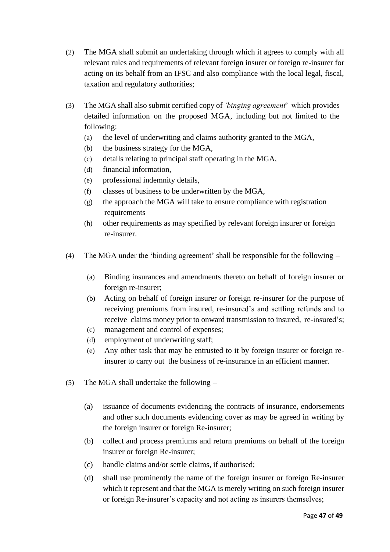- (2) The MGA shall submit an undertaking through which it agrees to comply with all relevant rules and requirements of relevant foreign insurer or foreign re-insurer for acting on its behalf from an IFSC and also compliance with the local legal, fiscal, taxation and regulatory authorities;
- (3) The MGA shall also submit certified copy of *'binging agreement*' which provides detailed information on the proposed MGA, including but not limited to the following:
	- (a) the level of underwriting and claims authority granted to the MGA,
	- (b) the business strategy for the MGA,
	- (c) details relating to principal staff operating in the MGA,
	- (d) financial information,
	- (e) professional indemnity details,
	- (f) classes of business to be underwritten by the MGA,
	- (g) the approach the MGA will take to ensure compliance with registration requirements
	- (h) other requirements as may specified by relevant foreign insurer or foreign re-insurer.
- (4) The MGA under the 'binding agreement' shall be responsible for the following
	- (a) Binding insurances and amendments thereto on behalf of foreign insurer or foreign re-insurer;
	- (b) Acting on behalf of foreign insurer or foreign re-insurer for the purpose of receiving premiums from insured, re-insured's and settling refunds and to receive claims money prior to onward transmission to insured, re-insured's;
	- (c) management and control of expenses;
	- (d) employment of underwriting staff;
	- (e) Any other task that may be entrusted to it by foreign insurer or foreign reinsurer to carry out the business of re-insurance in an efficient manner.
- (5) The MGA shall undertake the following
	- (a) issuance of documents evidencing the contracts of insurance, endorsements and other such documents evidencing cover as may be agreed in writing by the foreign insurer or foreign Re-insurer;
	- (b) collect and process premiums and return premiums on behalf of the foreign insurer or foreign Re-insurer;
	- (c) handle claims and/or settle claims, if authorised;
	- (d) shall use prominently the name of the foreign insurer or foreign Re-insurer which it represent and that the MGA is merely writing on such foreign insurer or foreign Re-insurer's capacity and not acting as insurers themselves;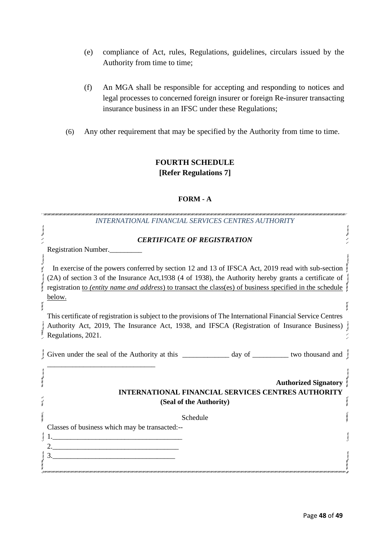- (e) compliance of Act, rules, Regulations, guidelines, circulars issued by the Authority from time to time;
- (f) An MGA shall be responsible for accepting and responding to notices and legal processes to concerned foreign insurer or foreign Re-insurer transacting insurance business in an IFSC under these Regulations;
- (6) Any other requirement that may be specified by the Authority from time to time.

## **FOURTH SCHEDULE [Refer Regulations 7]**

#### **FORM - A**

| <b>INTERNATIONAL FINANCIAL SERVICES CENTRES AUTHORITY</b>                                                                                                                                                                          |  |
|------------------------------------------------------------------------------------------------------------------------------------------------------------------------------------------------------------------------------------|--|
| <b>CERTIFICATE OF REGISTRATION</b>                                                                                                                                                                                                 |  |
| Registration Number.                                                                                                                                                                                                               |  |
| In exercise of the powers conferred by section 12 and 13 of IFSCA Act, 2019 read with sub-section                                                                                                                                  |  |
| (2A) of section 3 of the Insurance Act, 1938 (4 of 1938), the Authority hereby grants a certificate of<br>registration to (entity name and address) to transact the class(es) of business specified in the schedule                |  |
| below.                                                                                                                                                                                                                             |  |
| This certificate of registration is subject to the provisions of The International Financial Service Centres<br>Authority Act, 2019, The Insurance Act, 1938, and IFSCA (Registration of Insurance Business)<br>Regulations, 2021. |  |
|                                                                                                                                                                                                                                    |  |
| <b>Authorized Signatory</b><br><b>INTERNATIONAL FINANCIAL SERVICES CENTRES AUTHORITY</b><br>(Seal of the Authority)                                                                                                                |  |
| Schedule                                                                                                                                                                                                                           |  |
| Classes of business which may be transacted:--<br><u> 1989 - Johann Barn, mars ar breithinn ar chuid ann an t-Alban ann an t-Alban ann an t-Alban ann an t-Alban a</u>                                                             |  |
|                                                                                                                                                                                                                                    |  |